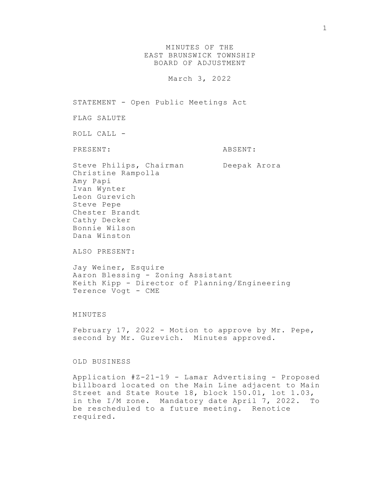MINUTES OF THE EAST BRUNSWICK TOWNSHIP BOARD OF ADJUSTMENT

March 3, 2022

STATEMENT - Open Public Meetings Act FLAG SALUTE ROLL CALL - PRESENT: ABSENT: Steve Philips, Chairman Deepak Arora Christine Rampolla Amy Papi Ivan Wynter Leon Gurevich Steve Pepe Chester Brandt Cathy Decker Bonnie Wilson Dana Winston

ALSO PRESENT:

Jay Weiner, Esquire Aaron Blessing - Zoning Assistant Keith Kipp - Director of Planning/Engineering Terence Vogt - CME

## MINUTES

February 17, 2022 - Motion to approve by Mr. Pepe, second by Mr. Gurevich. Minutes approved.

OLD BUSINESS

Application #Z-21-19 - Lamar Advertising - Proposed billboard located on the Main Line adjacent to Main Street and State Route 18, block 150.01, lot 1.03, in the I/M zone. Mandatory date April 7, 2022. To be rescheduled to a future meeting. Renotice required.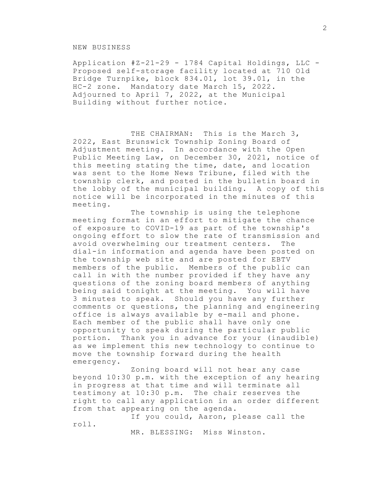## NEW BUSINESS

Application #Z-21-29 - 1784 Capital Holdings, LLC - Proposed self-storage facility located at 710 Old Bridge Turnpike, block 834.01, lot 39.01, in the HC-2 zone. Mandatory date March 15, 2022. Adjourned to April 7, 2022, at the Municipal Building without further notice.

THE CHAIRMAN: This is the March 3, 2022, East Brunswick Township Zoning Board of Adjustment meeting. In accordance with the Open Public Meeting Law, on December 30, 2021, notice of this meeting stating the time, date, and location was sent to the Home News Tribune, filed with the township clerk, and posted in the bulletin board in the lobby of the municipal building. A copy of this notice will be incorporated in the minutes of this meeting.

The township is using the telephone meeting format in an effort to mitigate the chance of exposure to COVID-19 as part of the township's ongoing effort to slow the rate of transmission and avoid overwhelming our treatment centers. The dial-in information and agenda have been posted on the township web site and are posted for EBTV members of the public. Members of the public can call in with the number provided if they have any questions of the zoning board members of anything being said tonight at the meeting. You will have 3 minutes to speak. Should you have any further comments or questions, the planning and engineering office is always available by e-mail and phone. Each member of the public shall have only one opportunity to speak during the particular public portion. Thank you in advance for your (inaudible) as we implement this new technology to continue to move the township forward during the health emergency.

Zoning board will not hear any case beyond 10:30 p.m. with the exception of any hearing in progress at that time and will terminate all testimony at 10:30 p.m. The chair reserves the right to call any application in an order different from that appearing on the agenda.

If you could, Aaron, please call the roll.

MR. BLESSING: Miss Winston.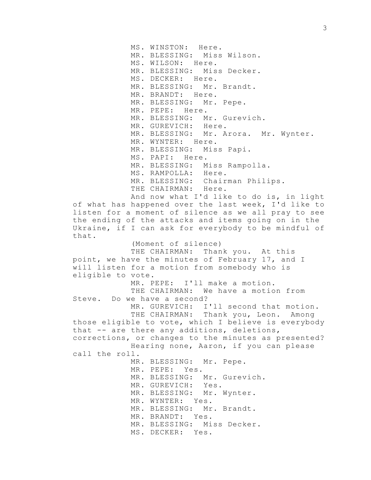MS. WINSTON: Here. MR. BLESSING: Miss Wilson. MS. WILSON: Here. MR. BLESSING: Miss Decker. MS. DECKER: Here. MR. BLESSING: Mr. Brandt. MR. BRANDT: Here. MR. BLESSING: Mr. Pepe. MR. PEPE: Here. MR. BLESSING: Mr. Gurevich. MR. GUREVICH: Here. MR. BLESSING: Mr. Arora. Mr. Wynter. MR. WYNTER: Here. MR. BLESSING: Miss Papi. MS. PAPI: Here. MR. BLESSING: Miss Rampolla. MS. RAMPOLLA: Here. MR. BLESSING: Chairman Philips. THE CHAIRMAN: Here. And now what I'd like to do is, in light of what has happened over the last week, I'd like to listen for a moment of silence as we all pray to see the ending of the attacks and items going on in the Ukraine, if I can ask for everybody to be mindful of that. (Moment of silence) THE CHAIRMAN: Thank you. At this point, we have the minutes of February 17, and I will listen for a motion from somebody who is eligible to vote. MR. PEPE: I'll make a motion. THE CHAIRMAN: We have a motion from Steve. Do we have a second? MR. GUREVICH: I'll second that motion. THE CHAIRMAN: Thank you, Leon. Among those eligible to vote, which I believe is everybody that -- are there any additions, deletions, corrections, or changes to the minutes as presented? Hearing none, Aaron, if you can please call the roll. MR. BLESSING: Mr. Pepe. MR. PEPE: Yes. MR. BLESSING: Mr. Gurevich. MR. GUREVICH: Yes. MR. BLESSING: Mr. Wynter. MR. WYNTER: Yes. MR. BLESSING: Mr. Brandt. MR. BRANDT: Yes. MR. BLESSING: Miss Decker.

MS. DECKER: Yes.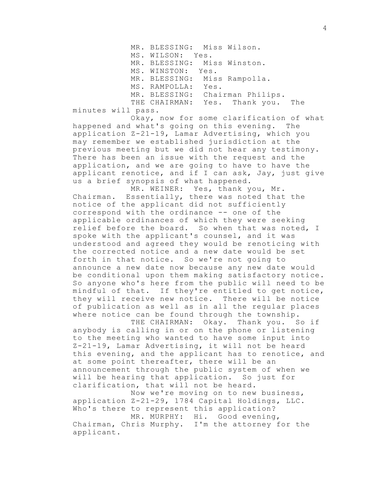MR. BLESSING: Miss Wilson. MS. WILSON: Yes. MR. BLESSING: Miss Winston. MS. WINSTON: Yes. MR. BLESSING: Miss Rampolla. MS. RAMPOLLA: Yes. MR. BLESSING: Chairman Philips. THE CHAIRMAN: Yes. Thank you. The

minutes will pass.

Okay, now for some clarification of what happened and what's going on this evening. The application Z-21-19, Lamar Advertising, which you may remember we established jurisdiction at the previous meeting but we did not hear any testimony. There has been an issue with the request and the application, and we are going to have to have the applicant renotice, and if I can ask, Jay, just give us a brief synopsis of what happened.

MR. WEINER: Yes, thank you, Mr. Chairman. Essentially, there was noted that the notice of the applicant did not sufficiently correspond with the ordinance -- one of the applicable ordinances of which they were seeking relief before the board. So when that was noted, I spoke with the applicant's counsel, and it was understood and agreed they would be renoticing with the corrected notice and a new date would be set forth in that notice. So we're not going to announce a new date now because any new date would be conditional upon them making satisfactory notice. So anyone who's here from the public will need to be mindful of that. If they're entitled to get notice, they will receive new notice. There will be notice of publication as well as in all the regular places where notice can be found through the township.

THE CHAIRMAN: Okay. Thank you. So if anybody is calling in or on the phone or listening to the meeting who wanted to have some input into Z-21-19, Lamar Advertising, it will not be heard this evening, and the applicant has to renotice, and at some point thereafter, there will be an announcement through the public system of when we will be hearing that application. So just for clarification, that will not be heard.

Now we're moving on to new business, application Z-21-29, 1784 Capital Holdings, LLC. Who's there to represent this application?

MR. MURPHY: Hi. Good evening, Chairman, Chris Murphy. I'm the attorney for the applicant.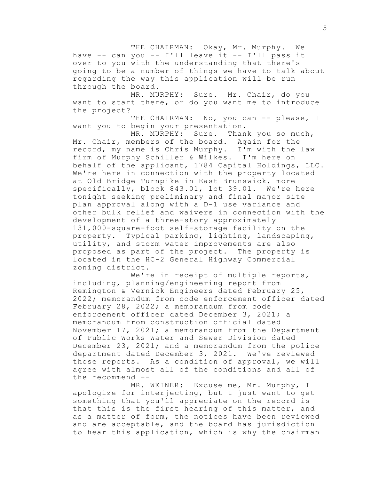THE CHAIRMAN: Okay, Mr. Murphy. We have -- can you -- I'll leave it -- I'll pass it over to you with the understanding that there's going to be a number of things we have to talk about regarding the way this application will be run through the board.

MR. MURPHY: Sure. Mr. Chair, do you want to start there, or do you want me to introduce the project?

THE CHAIRMAN: No, you can -- please, I want you to begin your presentation.

MR. MURPHY: Sure. Thank you so much, Mr. Chair, members of the board. Again for the record, my name is Chris Murphy. I'm with the law firm of Murphy Schiller & Wilkes. I'm here on behalf of the applicant, 1784 Capital Holdings, LLC. We're here in connection with the property located at Old Bridge Turnpike in East Brunswick, more specifically, block 843.01, lot 39.01. We're here tonight seeking preliminary and final major site plan approval along with a D-1 use variance and other bulk relief and waivers in connection with the development of a three-story approximately 131,000-square-foot self-storage facility on the property. Typical parking, lighting, landscaping, utility, and storm water improvements are also proposed as part of the project. The property is located in the HC-2 General Highway Commercial zoning district.

We're in receipt of multiple reports, including, planning/engineering report from Remington & Vernick Engineers dated February 25, 2022; memorandum from code enforcement officer dated February 28, 2022; a memorandum from code enforcement officer dated December 3, 2021; a memorandum from construction official dated November 17, 2021; a memorandum from the Department of Public Works Water and Sewer Division dated December 23, 2021; and a memorandum from the police department dated December 3, 2021. We've reviewed those reports. As a condition of approval, we will agree with almost all of the conditions and all of the recommend --

MR. WEINER: Excuse me, Mr. Murphy, I apologize for interjecting, but I just want to get something that you'll appreciate on the record is that this is the first hearing of this matter, and as a matter of form, the notices have been reviewed and are acceptable, and the board has jurisdiction to hear this application, which is why the chairman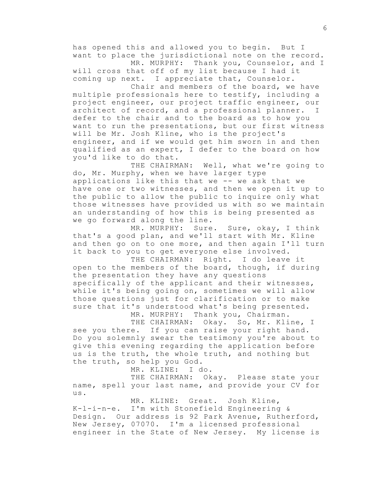has opened this and allowed you to begin. But I want to place the jurisdictional note on the record. MR. MURPHY: Thank you, Counselor, and I

will cross that off of my list because I had it coming up next. I appreciate that, Counselor.

Chair and members of the board, we have multiple professionals here to testify, including a project engineer, our project traffic engineer, our architect of record, and a professional planner. I defer to the chair and to the board as to how you want to run the presentations, but our first witness will be Mr. Josh Kline, who is the project's engineer, and if we would get him sworn in and then qualified as an expert, I defer to the board on how you'd like to do that.

THE CHAIRMAN: Well, what we're going to do, Mr. Murphy, when we have larger type applications like this that we -- we ask that we have one or two witnesses, and then we open it up to the public to allow the public to inquire only what those witnesses have provided us with so we maintain an understanding of how this is being presented as we go forward along the line.

MR. MURPHY: Sure. Sure, okay, I think that's a good plan, and we'll start with Mr. Kline and then go on to one more, and then again I'll turn it back to you to get everyone else involved.

THE CHAIRMAN: Right. I do leave it open to the members of the board, though, if during the presentation they have any questions specifically of the applicant and their witnesses, while it's being going on, sometimes we will allow those questions just for clarification or to make sure that it's understood what's being presented.

MR. MURPHY: Thank you, Chairman.

THE CHAIRMAN: Okay. So, Mr. Kline, I see you there. If you can raise your right hand. Do you solemnly swear the testimony you're about to give this evening regarding the application before us is the truth, the whole truth, and nothing but the truth, so help you God.

MR. KLINE: I do.

THE CHAIRMAN: Okay. Please state your name, spell your last name, and provide your CV for us.

MR. KLINE: Great. Josh Kline, K-l-i-n-e. I'm with Stonefield Engineering & Design. Our address is 92 Park Avenue, Rutherford, New Jersey, 07070. I'm a licensed professional engineer in the State of New Jersey. My license is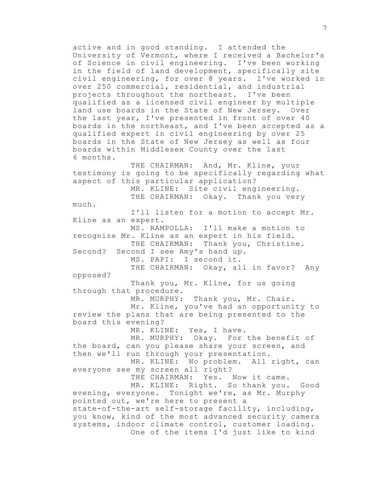active and in good standing. I attended the University of Vermont, where I received a Bachelor's of Science in civil engineering. I've been working in the field of land development, specifically site civil engineering, for over 8 years. I've worked in over 250 commercial, residential, and industrial projects throughout the northeast. I've been qualified as a licensed civil engineer by multiple land use boards in the State of New Jersey. Over the last year, I've presented in front of over 40 boards in the northeast, and I've been accepted as a qualified expert in civil engineering by over 25 boards in the State of New Jersey as well as four boards within Middlesex County over the last 6 months. THE CHAIRMAN: And, Mr. Kline, your

testimony is going to be specifically regarding what aspect of this particular application? MR. KLINE: Site civil engineering.

THE CHAIRMAN: Okay. Thank you very

much.

I'll listen for a motion to accept Mr. Kline as an expert. MS. RAMPOLLA: I'll make a motion to recognize Mr. Kline as an expert in his field. THE CHAIRMAN: Thank you, Christine. Second? Second I see Amy's hand up. MS. PAPI: I second it. THE CHAIRMAN: Okay, all in favor? Any opposed?

Thank you, Mr. Kline, for us going through that procedure.

MR. MURPHY: Thank you, Mr. Chair. Mr. Kline, you've had an opportunity to review the plans that are being presented to the board this evening?

MR. KLINE: Yes, I have.

MR. MURPHY: Okay. For the benefit of the board, can you please share your screen, and then we'll run through your presentation.

MR. KLINE: No problem. All right, can everyone see my screen all right?

THE CHAIRMAN: Yes. Now it came. MR. KLINE: Right. So thank you. Good evening, everyone. Tonight we're, as Mr. Murphy pointed out, we're here to present a state-of-the-art self-storage facility, including, you know, kind of the most advanced security camera systems, indoor climate control, customer loading. One of the items I'd just like to kind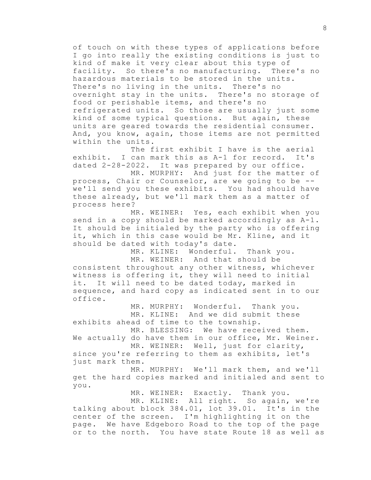of touch on with these types of applications before I go into really the existing conditions is just to kind of make it very clear about this type of facility. So there's no manufacturing. There's no hazardous materials to be stored in the units. There's no living in the units. There's no overnight stay in the units. There's no storage of food or perishable items, and there's no refrigerated units. So those are usually just some kind of some typical questions. But again, these units are geared towards the residential consumer. And, you know, again, those items are not permitted within the units.

The first exhibit I have is the aerial exhibit. I can mark this as A-1 for record. It's dated 2-28-2022. It was prepared by our office.

MR. MURPHY: And just for the matter of process, Chair or Counselor, are we going to be - we'll send you these exhibits. You had should have these already, but we'll mark them as a matter of process here?

MR. WEINER: Yes, each exhibit when you send in a copy should be marked accordingly as A-1. It should be initialed by the party who is offering it, which in this case would be Mr. Kline, and it should be dated with today's date.

MR. KLINE: Wonderful. Thank you.

MR. WEINER: And that should be consistent throughout any other witness, whichever witness is offering it, they will need to initial it. It will need to be dated today, marked in sequence, and hard copy as indicated sent in to our office.

MR. MURPHY: Wonderful. Thank you. MR. KLINE: And we did submit these exhibits ahead of time to the township.

MR. BLESSING: We have received them. We actually do have them in our office, Mr. Weiner.

MR. WEINER: Well, just for clarity, since you're referring to them as exhibits, let's just mark them.

MR. MURPHY: We'll mark them, and we'll get the hard copies marked and initialed and sent to you.

MR. WEINER: Exactly. Thank you.

MR. KLINE: All right. So again, we're talking about block 384.01, lot 39.01. It's in the center of the screen. I'm highlighting it on the page. We have Edgeboro Road to the top of the page or to the north. You have state Route 18 as well as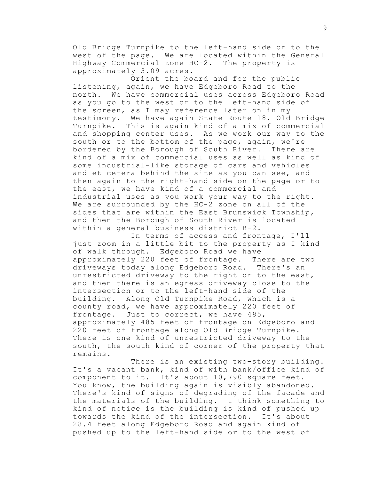Old Bridge Turnpike to the left-hand side or to the west of the page. We are located within the General Highway Commercial zone HC-2. The property is approximately 3.09 acres.

Orient the board and for the public listening, again, we have Edgeboro Road to the north. We have commercial uses across Edgeboro Road as you go to the west or to the left-hand side of the screen, as I may reference later on in my testimony. We have again State Route 18, Old Bridge Turnpike. This is again kind of a mix of commercial and shopping center uses. As we work our way to the south or to the bottom of the page, again, we're bordered by the Borough of South River. There are kind of a mix of commercial uses as well as kind of some industrial-like storage of cars and vehicles and et cetera behind the site as you can see, and then again to the right-hand side on the page or to the east, we have kind of a commercial and industrial uses as you work your way to the right. We are surrounded by the HC-2 zone on all of the sides that are within the East Brunswick Township, and then the Borough of South River is located within a general business district B-2.

In terms of access and frontage, I'll just zoom in a little bit to the property as I kind of walk through. Edgeboro Road we have approximately 220 feet of frontage. There are two driveways today along Edgeboro Road. There's an unrestricted driveway to the right or to the east, and then there is an egress driveway close to the intersection or to the left-hand side of the building. Along Old Turnpike Road, which is a county road, we have approximately 220 feet of frontage. Just to correct, we have 485, approximately 485 feet of frontage on Edgeboro and 220 feet of frontage along Old Bridge Turnpike. There is one kind of unrestricted driveway to the south, the south kind of corner of the property that remains.

There is an existing two-story building. It's a vacant bank, kind of with bank/office kind of component to it. It's about 10,790 square feet. You know, the building again is visibly abandoned. There's kind of signs of degrading of the facade and the materials of the building. I think something to kind of notice is the building is kind of pushed up towards the kind of the intersection. It's about 28.4 feet along Edgeboro Road and again kind of pushed up to the left-hand side or to the west of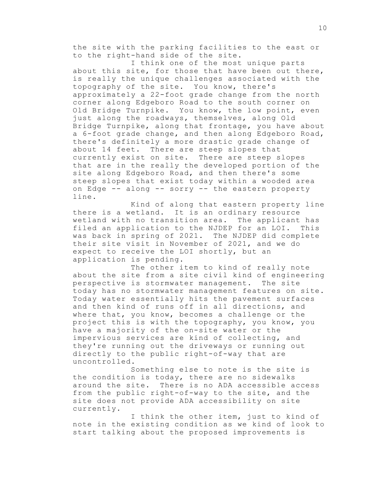the site with the parking facilities to the east or to the right-hand side of the site.

I think one of the most unique parts about this site, for those that have been out there, is really the unique challenges associated with the topography of the site. You know, there's approximately a 22-foot grade change from the north corner along Edgeboro Road to the south corner on Old Bridge Turnpike. You know, the low point, even just along the roadways, themselves, along Old Bridge Turnpike, along that frontage, you have about a 6-foot grade change, and then along Edgeboro Road, there's definitely a more drastic grade change of about 14 feet. There are steep slopes that currently exist on site. There are steep slopes that are in the really the developed portion of the site along Edgeboro Road, and then there's some steep slopes that exist today within a wooded area on Edge -- along -- sorry -- the eastern property line.

Kind of along that eastern property line there is a wetland. It is an ordinary resource wetland with no transition area. The applicant has filed an application to the NJDEP for an LOI. This was back in spring of 2021. The NJDEP did complete their site visit in November of 2021, and we do expect to receive the LOI shortly, but an application is pending.

The other item to kind of really note about the site from a site civil kind of engineering perspective is stormwater management. The site today has no stormwater management features on site. Today water essentially hits the pavement surfaces and then kind of runs off in all directions, and where that, you know, becomes a challenge or the project this is with the topography, you know, you have a majority of the on-site water or the impervious services are kind of collecting, and they're running out the driveways or running out directly to the public right-of-way that are uncontrolled.

Something else to note is the site is the condition is today, there are no sidewalks around the site. There is no ADA accessible access from the public right-of-way to the site, and the site does not provide ADA accessibility on site currently.

I think the other item, just to kind of note in the existing condition as we kind of look to start talking about the proposed improvements is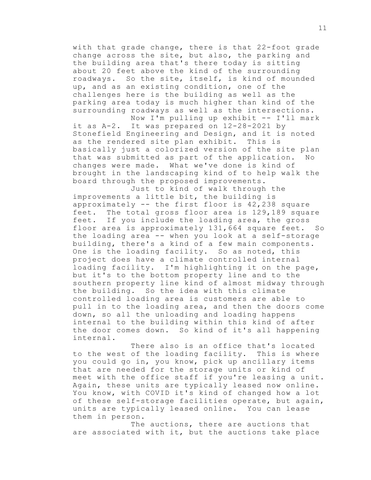with that grade change, there is that 22-foot grade change across the site, but also, the parking and the building area that's there today is sitting about 20 feet above the kind of the surrounding roadways. So the site, itself, is kind of mounded up, and as an existing condition, one of the challenges here is the building as well as the parking area today is much higher than kind of the surrounding roadways as well as the intersections. Now I'm pulling up exhibit -- I'll mark

it as A-2. It was prepared on 12-28-2021 by Stonefield Engineering and Design, and it is noted as the rendered site plan exhibit. This is basically just a colorized version of the site plan that was submitted as part of the application. No changes were made. What we've done is kind of brought in the landscaping kind of to help walk the board through the proposed improvements.

Just to kind of walk through the improvements a little bit, the building is approximately -- the first floor is 42,238 square feet. The total gross floor area is 129,189 square feet. If you include the loading area, the gross floor area is approximately 131,664 square feet. So the loading area -- when you look at a self-storage building, there's a kind of a few main components. One is the loading facility. So as noted, this project does have a climate controlled internal loading facility. I'm highlighting it on the page, but it's to the bottom property line and to the southern property line kind of almost midway through the building. So the idea with this climate controlled loading area is customers are able to pull in to the loading area, and then the doors come down, so all the unloading and loading happens internal to the building within this kind of after the door comes down. So kind of it's all happening internal.

There also is an office that's located to the west of the loading facility. This is where you could go in, you know, pick up ancillary items that are needed for the storage units or kind of meet with the office staff if you're leasing a unit. Again, these units are typically leased now online. You know, with COVID it's kind of changed how a lot of these self-storage facilities operate, but again, units are typically leased online. You can lease them in person.

The auctions, there are auctions that are associated with it, but the auctions take place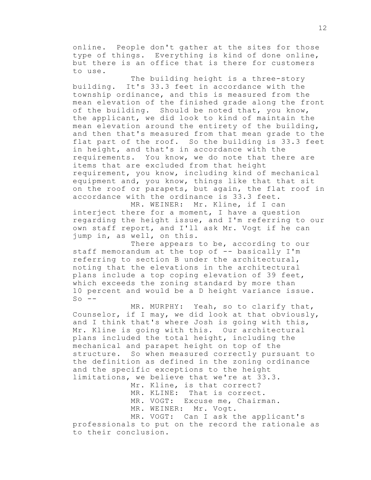online. People don't gather at the sites for those type of things. Everything is kind of done online, but there is an office that is there for customers to use.

The building height is a three-story building. It's 33.3 feet in accordance with the township ordinance, and this is measured from the mean elevation of the finished grade along the front of the building. Should be noted that, you know, the applicant, we did look to kind of maintain the mean elevation around the entirety of the building, and then that's measured from that mean grade to the flat part of the roof. So the building is 33.3 feet in height, and that's in accordance with the requirements. You know, we do note that there are items that are excluded from that height requirement, you know, including kind of mechanical equipment and, you know, things like that that sit on the roof or parapets, but again, the flat roof in accordance with the ordinance is 33.3 feet.

MR. WEINER: Mr. Kline, if I can interject there for a moment, I have a question regarding the height issue, and I'm referring to our own staff report, and I'll ask Mr. Vogt if he can jump in, as well, on this.

There appears to be, according to our staff memorandum at the top of -- basically I'm referring to section B under the architectural, noting that the elevations in the architectural plans include a top coping elevation of 39 feet, which exceeds the zoning standard by more than 10 percent and would be a D height variance issue.  $So$   $-$ 

MR. MURPHY: Yeah, so to clarify that, Counselor, if I may, we did look at that obviously, and I think that's where Josh is going with this, Mr. Kline is going with this. Our architectural plans included the total height, including the mechanical and parapet height on top of the structure. So when measured correctly pursuant to the definition as defined in the zoning ordinance and the specific exceptions to the height limitations, we believe that we're at 33.3.

> Mr. Kline, is that correct? MR. KLINE: That is correct. MR. VOGT: Excuse me, Chairman. MR. WEINER: Mr. Vogt. MR. VOGT: Can I ask the applicant's

professionals to put on the record the rationale as to their conclusion.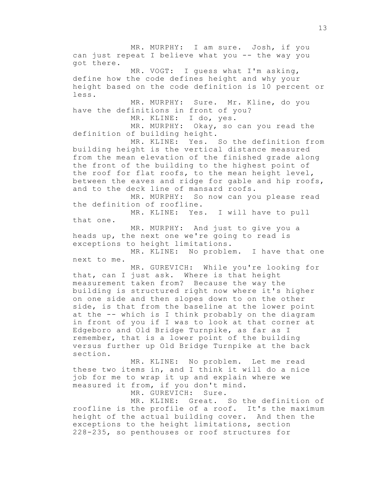MR. MURPHY: I am sure. Josh, if you can just repeat I believe what you -- the way you got there. MR. VOGT: I quess what I'm asking, define how the code defines height and why your height based on the code definition is 10 percent or less. MR. MURPHY: Sure. Mr. Kline, do you have the definitions in front of you? MR. KLINE: I do, yes. MR. MURPHY: Okay, so can you read the definition of building height. MR. KLINE: Yes. So the definition from building height is the vertical distance measured from the mean elevation of the finished grade along the front of the building to the highest point of the roof for flat roofs, to the mean height level, between the eaves and ridge for gable and hip roofs, and to the deck line of mansard roofs. MR. MURPHY: So now can you please read the definition of roofline. MR. KLINE: Yes. I will have to pull that one. MR. MURPHY: And just to give you a heads up, the next one we're going to read is exceptions to height limitations. MR. KLINE: No problem. I have that one next to me. MR. GUREVICH: While you're looking for that, can I just ask. Where is that height measurement taken from? Because the way the building is structured right now where it's higher on one side and then slopes down to on the other side, is that from the baseline at the lower point at the -- which is I think probably on the diagram in front of you if I was to look at that corner at Edgeboro and Old Bridge Turnpike, as far as I remember, that is a lower point of the building versus further up Old Bridge Turnpike at the back section. MR. KLINE: No problem. Let me read these two items in, and I think it will do a nice job for me to wrap it up and explain where we measured it from, if you don't mind. MR. GUREVICH: Sure. MR. KLINE: Great. So the definition of

roofline is the profile of a roof. It's the maximum height of the actual building cover. And then the exceptions to the height limitations, section 228-235, so penthouses or roof structures for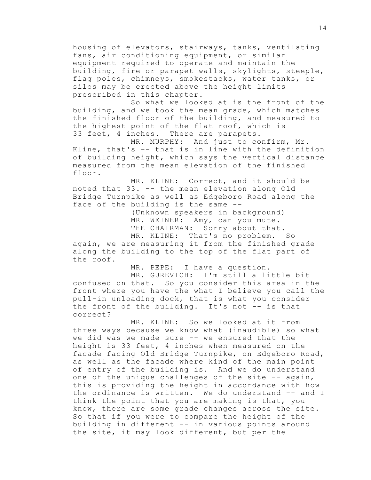housing of elevators, stairways, tanks, ventilating fans, air conditioning equipment, or similar equipment required to operate and maintain the building, fire or parapet walls, skylights, steeple, flag poles, chimneys, smokestacks, water tanks, or silos may be erected above the height limits prescribed in this chapter.

So what we looked at is the front of the building, and we took the mean grade, which matches the finished floor of the building, and measured to the highest point of the flat roof, which is 33 feet, 4 inches. There are parapets.

MR. MURPHY: And just to confirm, Mr. Kline, that's -- that is in line with the definition of building height, which says the vertical distance measured from the mean elevation of the finished floor.

MR. KLINE: Correct, and it should be noted that 33. -- the mean elevation along Old Bridge Turnpike as well as Edgeboro Road along the face of the building is the same --

> (Unknown speakers in background) MR. WEINER: Amy, can you mute. THE CHAIRMAN: Sorry about that. MR. KLINE: That's no problem. So

again, we are measuring it from the finished grade along the building to the top of the flat part of the roof.

MR. PEPE: I have a question.

MR. GUREVICH: I'm still a little bit confused on that. So you consider this area in the front where you have the what I believe you call the pull-in unloading dock, that is what you consider the front of the building. It's not -- is that correct?

MR. KLINE: So we looked at it from three ways because we know what (inaudible) so what we did was we made sure -- we ensured that the height is 33 feet, 4 inches when measured on the facade facing Old Bridge Turnpike, on Edgeboro Road, as well as the facade where kind of the main point of entry of the building is. And we do understand one of the unique challenges of the site -- again, this is providing the height in accordance with how the ordinance is written. We do understand -- and I think the point that you are making is that, you know, there are some grade changes across the site. So that if you were to compare the height of the building in different -- in various points around the site, it may look different, but per the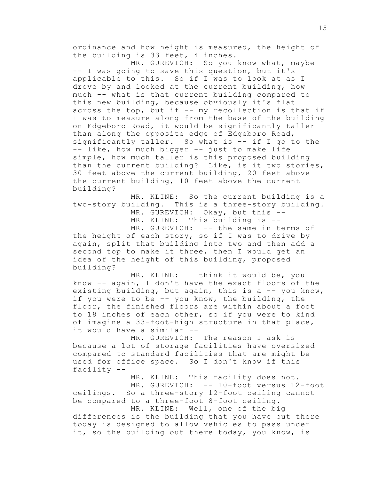ordinance and how height is measured, the height of the building is 33 feet, 4 inches.

MR. GUREVICH: So you know what, maybe -- I was going to save this question, but it's applicable to this. So if I was to look at as I drove by and looked at the current building, how much -- what is that current building compared to this new building, because obviously it's flat across the top, but if  $--$  my recollection is that if I was to measure along from the base of the building on Edgeboro Road, it would be significantly taller than along the opposite edge of Edgeboro Road, significantly taller. So what is  $--$  if I go to the -- like, how much bigger -- just to make life simple, how much taller is this proposed building than the current building? Like, is it two stories, 30 feet above the current building, 20 feet above the current building, 10 feet above the current building?

MR. KLINE: So the current building is a two-story building. This is a three-story building. MR. GUREVICH: Okay, but this -- MR. KLINE: This building is -- MR. GUREVICH: -- the same in terms of

the height of each story, so if I was to drive by again, split that building into two and then add a second top to make it three, then I would get an idea of the height of this building, proposed building?

MR. KLINE: I think it would be, you know -- again, I don't have the exact floors of the existing building, but again, this is a -- you know, if you were to be -- you know, the building, the floor, the finished floors are within about a foot to 18 inches of each other, so if you were to kind of imagine a 33-foot-high structure in that place, it would have a similar --

MR. GUREVICH: The reason I ask is because a lot of storage facilities have oversized compared to standard facilities that are might be used for office space. So I don't know if this facility --

MR. KLINE: This facility does not. MR. GUREVICH: -- 10-foot versus 12-foot ceilings. So a three-story 12-foot ceiling cannot be compared to a three-foot 8-foot ceiling.

MR. KLINE: Well, one of the big differences is the building that you have out there today is designed to allow vehicles to pass under it, so the building out there today, you know, is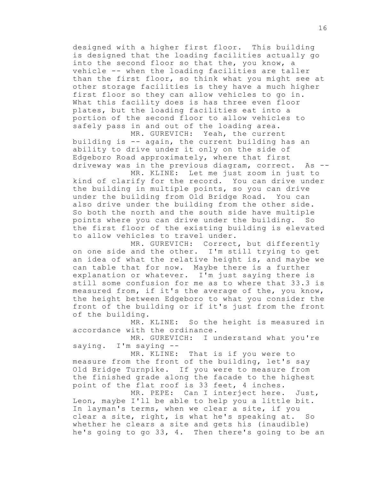designed with a higher first floor. This building is designed that the loading facilities actually go into the second floor so that the, you know, a vehicle -- when the loading facilities are taller than the first floor, so think what you might see at other storage facilities is they have a much higher first floor so they can allow vehicles to go in. What this facility does is has three even floor plates, but the loading facilities eat into a portion of the second floor to allow vehicles to safely pass in and out of the loading area.

MR. GUREVICH: Yeah, the current building is -- again, the current building has an ability to drive under it only on the side of Edgeboro Road approximately, where that first driveway was in the previous diagram, correct. As --

MR. KLINE: Let me just zoom in just to kind of clarify for the record. You can drive under the building in multiple points, so you can drive under the building from Old Bridge Road. You can also drive under the building from the other side. So both the north and the south side have multiple points where you can drive under the building. So the first floor of the existing building is elevated to allow vehicles to travel under.

MR. GUREVICH: Correct, but differently on one side and the other. I'm still trying to get an idea of what the relative height is, and maybe we can table that for now. Maybe there is a further explanation or whatever. I'm just saying there is still some confusion for me as to where that 33.3 is measured from, if it's the average of the, you know, the height between Edgeboro to what you consider the front of the building or if it's just from the front of the building.

MR. KLINE: So the height is measured in accordance with the ordinance.

MR. GUREVICH: I understand what you're saying. I'm saying --

MR. KLINE: That is if you were to measure from the front of the building, let's say Old Bridge Turnpike. If you were to measure from the finished grade along the facade to the highest point of the flat roof is 33 feet, 4 inches.

MR. PEPE: Can I interject here. Just, Leon, maybe I'll be able to help you a little bit. In layman's terms, when we clear a site, if you clear a site, right, is what he's speaking at. So whether he clears a site and gets his (inaudible) he's going to go 33, 4. Then there's going to be an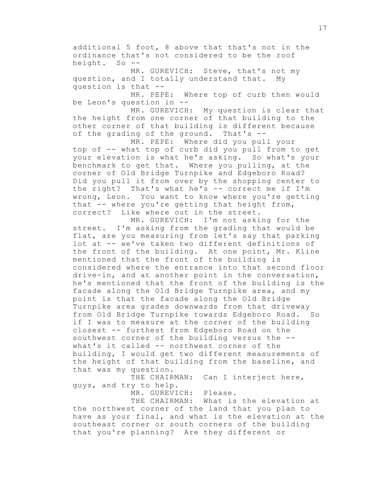additional 5 foot, 8 above that that's not in the ordinance that's not considered to be the roof height. So --

MR. GUREVICH: Steve, that's not my question, and I totally understand that. My question is that --

MR. PEPE: Where top of curb then would be Leon's question in --

MR. GUREVICH: My question is clear that the height from one corner of that building to the other corner of that building is different because of the grading of the ground. That's --

MR. PEPE: Where did you pull your top of -- what top of curb did you pull from to get your elevation is what he's asking. So what's your benchmark to get that. Where you pulling, at the corner of Old Bridge Turnpike and Edgeboro Road? Did you pull it from over by the shopping center to the right? That's what he's -- correct me if I'm wrong, Leon. You want to know where you're getting that -- where you're getting that height from, correct? Like where out in the street.

MR. GUREVICH: I'm not asking for the street. I'm asking from the grading that would be flat, are you measuring from let's say that parking lot at -- we've taken two different definitions of the front of the building. At one point, Mr. Kline mentioned that the front of the building is considered where the entrance into that second floor drive-in, and at another point in the conversation, he's mentioned that the front of the building is the facade along the Old Bridge Turnpike area, and my point is that the facade along the Old Bridge Turnpike area grades downwards from that driveway from Old Bridge Turnpike towards Edgeboro Road. So if I was to measure at the corner of the building closest -- furthest from Edgeboro Road on the southwest corner of the building versus the - what's it called -- northwest corner of the building, I would get two different measurements of the height of that building from the baseline, and that was my question.

THE CHAIRMAN: Can I interject here, guys, and try to help.

MR. GUREVICH: Please.

THE CHAIRMAN: What is the elevation at the northwest corner of the land that you plan to have as your final, and what is the elevation at the southeast corner or south corners of the building that you're planning? Are they different or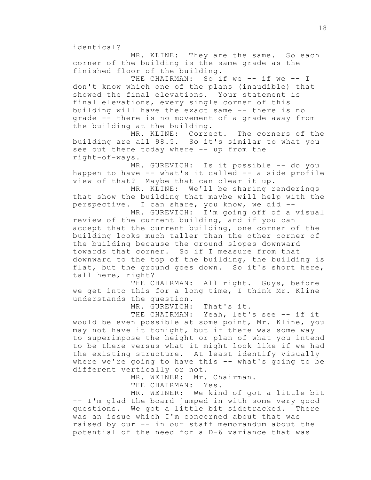identical?

MR. KLINE: They are the same. So each corner of the building is the same grade as the finished floor of the building.

THE CHAIRMAN: So if we -- if we -- I don't know which one of the plans (inaudible) that showed the final elevations. Your statement is final elevations, every single corner of this building will have the exact same -- there is no grade -- there is no movement of a grade away from the building at the building.

MR. KLINE: Correct. The corners of the building are all 98.5. So it's similar to what you see out there today where -- up from the right-of-ways.

MR. GUREVICH: Is it possible -- do you happen to have -- what's it called -- a side profile view of that? Maybe that can clear it up.

MR. KLINE: We'll be sharing renderings that show the building that maybe will help with the perspective. I can share, you know, we did --

MR. GUREVICH: I'm going off of a visual review of the current building, and if you can accept that the current building, one corner of the building looks much taller than the other corner of the building because the ground slopes downward towards that corner. So if I measure from that downward to the top of the building, the building is flat, but the ground goes down. So it's short here, tall here, right?

THE CHAIRMAN: All right. Guys, before we get into this for a long time, I think Mr. Kline understands the question.

MR. GUREVICH: That's it.

THE CHAIRMAN: Yeah, let's see -- if it would be even possible at some point, Mr. Kline, you may not have it tonight, but if there was some way to superimpose the height or plan of what you intend to be there versus what it might look like if we had the existing structure. At least identify visually where we're going to have this -- what's going to be different vertically or not.

> MR. WEINER: Mr. Chairman. THE CHAIRMAN: Yes.

MR. WEINER: We kind of got a little bit -- I'm glad the board jumped in with some very good questions. We got a little bit sidetracked. There was an issue which I'm concerned about that was raised by our -- in our staff memorandum about the potential of the need for a D-6 variance that was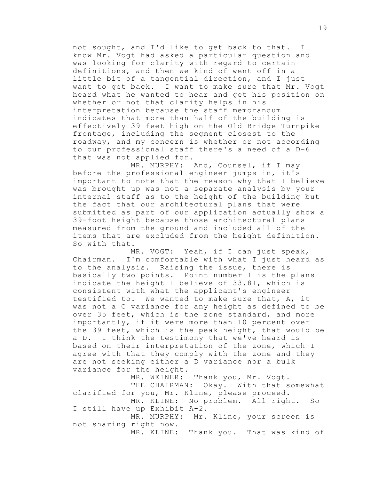not sought, and I'd like to get back to that. I know Mr. Vogt had asked a particular question and was looking for clarity with regard to certain definitions, and then we kind of went off in a little bit of a tangential direction, and I just want to get back. I want to make sure that Mr. Vogt heard what he wanted to hear and get his position on whether or not that clarity helps in his interpretation because the staff memorandum indicates that more than half of the building is effectively 39 feet high on the Old Bridge Turnpike frontage, including the segment closest to the roadway, and my concern is whether or not according to our professional staff there's a need of a D-6 that was not applied for.

MR. MURPHY: And, Counsel, if I may before the professional engineer jumps in, it's important to note that the reason why that I believe was brought up was not a separate analysis by your internal staff as to the height of the building but the fact that our architectural plans that were submitted as part of our application actually show a 39-foot height because those architectural plans measured from the ground and included all of the items that are excluded from the height definition. So with that.

MR. VOGT: Yeah, if I can just speak, Chairman. I'm comfortable with what I just heard as to the analysis. Raising the issue, there is basically two points. Point number 1 is the plans indicate the height I believe of 33.81, which is consistent with what the applicant's engineer testified to. We wanted to make sure that, A, it was not a C variance for any height as defined to be over 35 feet, which is the zone standard, and more importantly, if it were more than 10 percent over the 39 feet, which is the peak height, that would be a D. I think the testimony that we've heard is based on their interpretation of the zone, which I agree with that they comply with the zone and they are not seeking either a D variance nor a bulk variance for the height.

MR. WEINER: Thank you, Mr. Vogt. THE CHAIRMAN: Okay. With that somewhat clarified for you, Mr. Kline, please proceed. MR. KLINE: No problem. All right. So I still have up Exhibit A-2. MR. MURPHY: Mr. Kline, your screen is not sharing right now. MR. KLINE: Thank you. That was kind of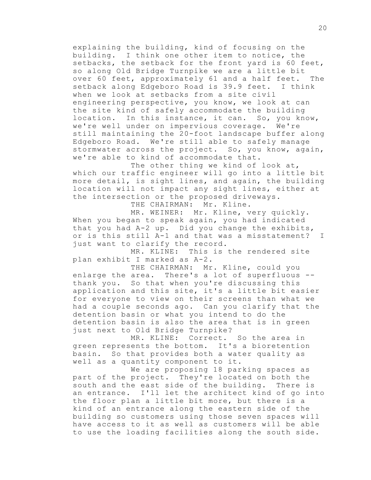explaining the building, kind of focusing on the building. I think one other item to notice, the setbacks, the setback for the front yard is 60 feet, so along Old Bridge Turnpike we are a little bit over 60 feet, approximately 61 and a half feet. The setback along Edgeboro Road is 39.9 feet. I think when we look at setbacks from a site civil engineering perspective, you know, we look at can the site kind of safely accommodate the building location. In this instance, it can. So, you know, we're well under on impervious coverage. We're still maintaining the 20-foot landscape buffer along Edgeboro Road. We're still able to safely manage stormwater across the project. So, you know, again, we're able to kind of accommodate that.

The other thing we kind of look at, which our traffic engineer will go into a little bit more detail, is sight lines, and again, the building location will not impact any sight lines, either at the intersection or the proposed driveways.

THE CHAIRMAN: Mr. Kline.

MR. WEINER: Mr. Kline, very quickly. When you began to speak again, you had indicated that you had A-2 up. Did you change the exhibits, or is this still A-1 and that was a misstatement? I just want to clarify the record.

MR. KLINE: This is the rendered site plan exhibit I marked as A-2.

THE CHAIRMAN: Mr. Kline, could you enlarge the area. There's a lot of superfluous - thank you. So that when you're discussing this application and this site, it's a little bit easier for everyone to view on their screens than what we had a couple seconds ago. Can you clarify that the detention basin or what you intend to do the detention basin is also the area that is in green just next to Old Bridge Turnpike?

MR. KLINE: Correct. So the area in green represents the bottom. It's a bioretention basin. So that provides both a water quality as well as a quantity component to it.

We are proposing 18 parking spaces as part of the project. They're located on both the south and the east side of the building. There is an entrance. I'll let the architect kind of go into the floor plan a little bit more, but there is a kind of an entrance along the eastern side of the building so customers using those seven spaces will have access to it as well as customers will be able to use the loading facilities along the south side.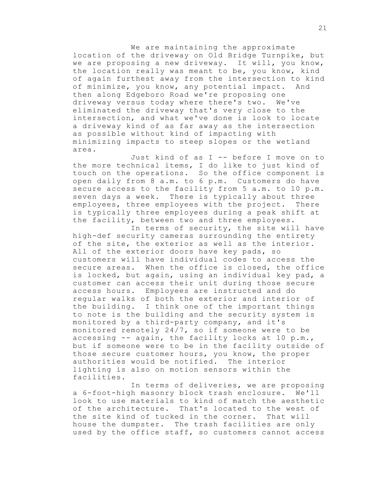We are maintaining the approximate location of the driveway on Old Bridge Turnpike, but we are proposing a new driveway. It will, you know, the location really was meant to be, you know, kind of again furthest away from the intersection to kind of minimize, you know, any potential impact. And then along Edgeboro Road we're proposing one driveway versus today where there's two. We've eliminated the driveway that's very close to the intersection, and what we've done is look to locate a driveway kind of as far away as the intersection as possible without kind of impacting with minimizing impacts to steep slopes or the wetland area.

Just kind of as I -- before I move on to the more technical items, I do like to just kind of touch on the operations. So the office component is open daily from 8 a.m. to 6 p.m. Customers do have secure access to the facility from 5 a.m. to 10 p.m. seven days a week. There is typically about three employees, three employees with the project. There is typically three employees during a peak shift at the facility, between two and three employees.

In terms of security, the site will have high-def security cameras surrounding the entirety of the site, the exterior as well as the interior. All of the exterior doors have key pads, so customers will have individual codes to access the secure areas. When the office is closed, the office is locked, but again, using an individual key pad, a customer can access their unit during those secure access hours. Employees are instructed and do regular walks of both the exterior and interior of the building. I think one of the important things to note is the building and the security system is monitored by a third-party company, and it's monitored remotely 24/7, so if someone were to be accessing  $-$ - again, the facility locks at 10 p.m., but if someone were to be in the facility outside of those secure customer hours, you know, the proper authorities would be notified. The interior lighting is also on motion sensors within the facilities.

In terms of deliveries, we are proposing a 6-foot-high masonry block trash enclosure. We'll look to use materials to kind of match the aesthetic of the architecture. That's located to the west of the site kind of tucked in the corner. That will house the dumpster. The trash facilities are only used by the office staff, so customers cannot access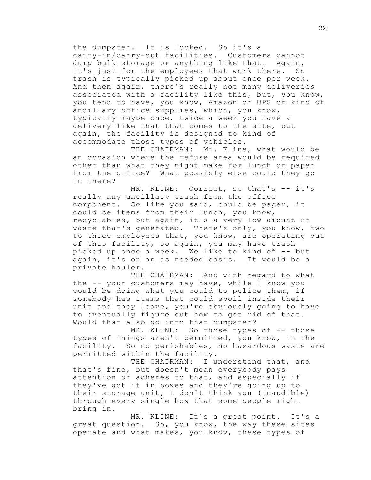the dumpster. It is locked. So it's a carry-in/carry-out facilities. Customers cannot dump bulk storage or anything like that. Again, it's just for the employees that work there. So trash is typically picked up about once per week. And then again, there's really not many deliveries associated with a facility like this, but, you know, you tend to have, you know, Amazon or UPS or kind of ancillary office supplies, which, you know, typically maybe once, twice a week you have a delivery like that that comes to the site, but again, the facility is designed to kind of accommodate those types of vehicles.

THE CHAIRMAN: Mr. Kline, what would be an occasion where the refuse area would be required other than what they might make for lunch or paper from the office? What possibly else could they go in there?

MR. KLINE: Correct, so that's -- it's really any ancillary trash from the office component. So like you said, could be paper, it could be items from their lunch, you know, recyclables, but again, it's a very low amount of waste that's generated. There's only, you know, two to three employees that, you know, are operating out of this facility, so again, you may have trash picked up once a week. We like to kind of -- but again, it's on an as needed basis. It would be a private hauler.

THE CHAIRMAN: And with regard to what the -- your customers may have, while I know you would be doing what you could to police them, if somebody has items that could spoil inside their unit and they leave, you're obviously going to have to eventually figure out how to get rid of that. Would that also go into that dumpster?

MR. KLINE: So those types of -- those types of things aren't permitted, you know, in the facility. So no perishables, no hazardous waste are permitted within the facility.

THE CHAIRMAN: I understand that, and that's fine, but doesn't mean everybody pays attention or adheres to that, and especially if they've got it in boxes and they're going up to their storage unit, I don't think you (inaudible) through every single box that some people might bring in.

MR. KLINE: It's a great point. It's a great question. So, you know, the way these sites operate and what makes, you know, these types of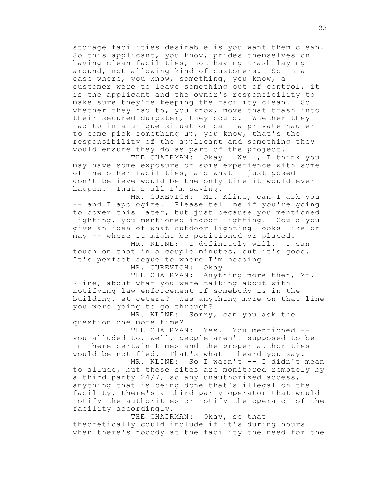storage facilities desirable is you want them clean. So this applicant, you know, prides themselves on having clean facilities, not having trash laying around, not allowing kind of customers. So in a case where, you know, something, you know, a customer were to leave something out of control, it is the applicant and the owner's responsibility to make sure they're keeping the facility clean. So whether they had to, you know, move that trash into their secured dumpster, they could. Whether they had to in a unique situation call a private hauler to come pick something up, you know, that's the responsibility of the applicant and something they would ensure they do as part of the project.

THE CHAIRMAN: Okay. Well, I think you may have some exposure or some experience with some of the other facilities, and what I just posed I don't believe would be the only time it would ever happen. That's all I'm saying.

MR. GUREVICH: Mr. Kline, can I ask you -- and I apologize. Please tell me if you're going to cover this later, but just because you mentioned lighting, you mentioned indoor lighting. Could you give an idea of what outdoor lighting looks like or may -- where it might be positioned or placed.

MR. KLINE: I definitely will. I can touch on that in a couple minutes, but it's good. It's perfect segue to where I'm heading.

MR. GUREVICH: Okay.

THE CHAIRMAN: Anything more then, Mr. Kline, about what you were talking about with notifying law enforcement if somebody is in the building, et cetera? Was anything more on that line you were going to go through?

MR. KLINE: Sorry, can you ask the question one more time?

THE CHAIRMAN: Yes. You mentioned -you alluded to, well, people aren't supposed to be in there certain times and the proper authorities would be notified. That's what I heard you say.

MR. KLINE: So I wasn't -- I didn't mean to allude, but these sites are monitored remotely by a third party 24/7, so any unauthorized access, anything that is being done that's illegal on the facility, there's a third party operator that would notify the authorities or notify the operator of the facility accordingly.

THE CHAIRMAN: Okay, so that theoretically could include if it's during hours when there's nobody at the facility the need for the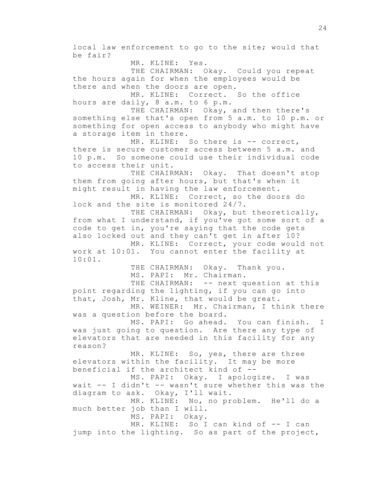local law enforcement to go to the site; would that be fair? MR. KLINE: Yes. THE CHAIRMAN: Okay. Could you repeat the hours again for when the employees would be there and when the doors are open. MR. KLINE: Correct. So the office hours are daily, 8 a.m. to 6 p.m. THE CHAIRMAN: Okay, and then there's something else that's open from 5 a.m. to 10 p.m. or something for open access to anybody who might have a storage item in there. MR. KLINE: So there is -- correct, there is secure customer access between 5 a.m. and 10 p.m. So someone could use their individual code to access their unit. THE CHAIRMAN: Okay. That doesn't stop them from going after hours, but that's when it might result in having the law enforcement. MR. KLINE: Correct, so the doors do lock and the site is monitored 24/7. THE CHAIRMAN: Okay, but theoretically, from what I understand, if you've got some sort of a code to get in, you're saying that the code gets also locked out and they can't get in after 10? MR. KLINE: Correct, your code would not work at 10:01. You cannot enter the facility at 10:01. THE CHAIRMAN: Okay. Thank you. MS. PAPI: Mr. Chairman. THE CHAIRMAN: -- next question at this point regarding the lighting, if you can go into that, Josh, Mr. Kline, that would be great. MR. WEINER: Mr. Chairman, I think there was a question before the board. MS. PAPI: Go ahead. You can finish. I was just going to question. Are there any type of elevators that are needed in this facility for any reason? MR. KLINE: So, yes, there are three elevators within the facility. It may be more beneficial if the architect kind of -- MS. PAPI: Okay. I apologize. I was wait -- I didn't -- wasn't sure whether this was the diagram to ask. Okay, I'll wait. MR. KLINE: No, no problem. He'll do a much better job than I will. MS. PAPI: Okay. MR. KLINE: So I can kind of -- I can jump into the lighting. So as part of the project,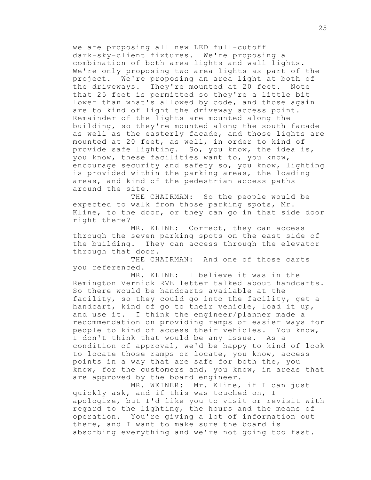we are proposing all new LED full-cutoff dark-sky-client fixtures. We're proposing a combination of both area lights and wall lights. We're only proposing two area lights as part of the project. We're proposing an area light at both of the driveways. They're mounted at 20 feet. Note that 25 feet is permitted so they're a little bit lower than what's allowed by code, and those again are to kind of light the driveway access point. Remainder of the lights are mounted along the building, so they're mounted along the south facade as well as the easterly facade, and those lights are mounted at 20 feet, as well, in order to kind of provide safe lighting. So, you know, the idea is, you know, these facilities want to, you know, encourage security and safety so, you know, lighting is provided within the parking areas, the loading areas, and kind of the pedestrian access paths around the site.

THE CHAIRMAN: So the people would be expected to walk from those parking spots, Mr. Kline, to the door, or they can go in that side door right there?

MR. KLINE: Correct, they can access through the seven parking spots on the east side of the building. They can access through the elevator through that door.

THE CHAIRMAN: And one of those carts you referenced.

MR. KLINE: I believe it was in the Remington Vernick RVE letter talked about handcarts. So there would be handcarts available at the facility, so they could go into the facility, get a handcart, kind of go to their vehicle, load it up, and use it. I think the engineer/planner made a recommendation on providing ramps or easier ways for people to kind of access their vehicles. You know, I don't think that would be any issue. As a condition of approval, we'd be happy to kind of look to locate those ramps or locate, you know, access points in a way that are safe for both the, you know, for the customers and, you know, in areas that are approved by the board engineer.

MR. WEINER: Mr. Kline, if I can just quickly ask, and if this was touched on, I apologize, but I'd like you to visit or revisit with regard to the lighting, the hours and the means of operation. You're giving a lot of information out there, and I want to make sure the board is absorbing everything and we're not going too fast.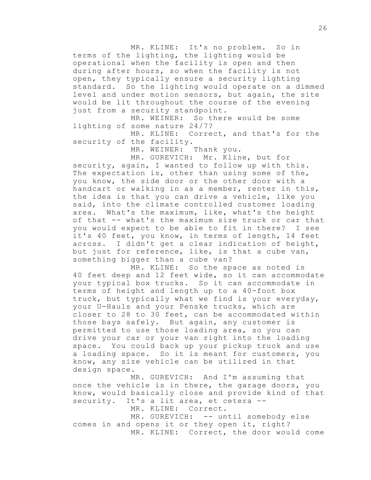MR. KLINE: It's no problem. So in terms of the lighting, the lighting would be operational when the facility is open and then during after hours, so when the facility is not open, they typically ensure a security lighting standard. So the lighting would operate on a dimmed level and under motion sensors, but again, the site would be lit throughout the course of the evening just from a security standpoint.

MR. WEINER: So there would be some lighting of some nature 24/7?

MR. KLINE: Correct, and that's for the security of the facility.

MR. WEINER: Thank you.

MR. GUREVICH: Mr. Kline, but for security, again, I wanted to follow up with this. The expectation is, other than using some of the, you know, the side door or the other door with a handcart or walking in as a member, renter in this, the idea is that you can drive a vehicle, like you said, into the climate controlled customer loading area. What's the maximum, like, what's the height of that -- what's the maximum size truck or car that you would expect to be able to fit in there? I see it's 40 feet, you know, in terms of length, 14 feet across. I didn't get a clear indication of height, but just for reference, like, is that a cube van, something bigger than a cube van?

MR. KLINE: So the space as noted is 40 feet deep and 12 feet wide, so it can accommodate your typical box trucks. So it can accommodate in terms of height and length up to a 40-foot box truck, but typically what we find is your everyday, your U-Hauls and your Penske trucks, which are closer to 28 to 30 feet, can be accommodated within those bays safely. But again, any customer is permitted to use those loading area, so you can drive your car or your van right into the loading space. You could back up your pickup truck and use a loading space. So it is meant for customers, you know, any size vehicle can be utilized in that design space.

MR. GUREVICH: And I'm assuming that once the vehicle is in there, the garage doors, you know, would basically close and provide kind of that security. It's a lit area, et cetera --

MR. KLINE: Correct.

MR. GUREVICH: -- until somebody else comes in and opens it or they open it, right? MR. KLINE: Correct, the door would come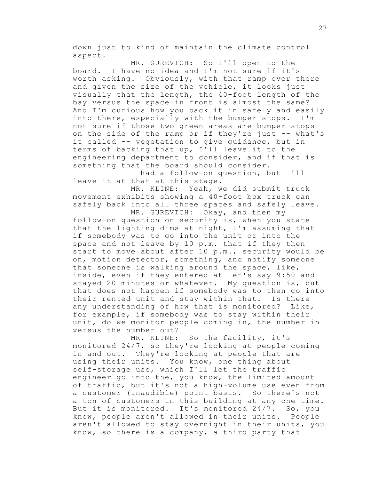down just to kind of maintain the climate control aspect.

MR. GUREVICH: So I'll open to the board. I have no idea and I'm not sure if it's worth asking. Obviously, with that ramp over there and given the size of the vehicle, it looks just visually that the length, the 40-foot length of the bay versus the space in front is almost the same? And I'm curious how you back it in safely and easily into there, especially with the bumper stops. I'm not sure if those two green areas are bumper stops on the side of the ramp or if they're just -- what's it called -- vegetation to give guidance, but in terms of backing that up, I'll leave it to the engineering department to consider, and if that is something that the board should consider.

I had a follow-on question, but I'll leave it at that at this stage.

MR. KLINE: Yeah, we did submit truck movement exhibits showing a 40-foot box truck can safely back into all three spaces and safely leave. MR. GUREVICH: Okay, and then my

follow-on question on security is, when you state that the lighting dims at night, I'm assuming that if somebody was to go into the unit or into the space and not leave by 10 p.m. that if they then start to move about after 10 p.m., security would be on, motion detector, something, and notify someone that someone is walking around the space, like, inside, even if they entered at let's say 9:50 and stayed 20 minutes or whatever. My question is, but that does not happen if somebody was to then go into their rented unit and stay within that. Is there any understanding of how that is monitored? Like, for example, if somebody was to stay within their unit, do we monitor people coming in, the number in versus the number out?

MR. KLINE: So the facility, it's monitored 24/7, so they're looking at people coming in and out. They're looking at people that are using their units. You know, one thing about self-storage use, which I'll let the traffic engineer go into the, you know, the limited amount of traffic, but it's not a high-volume use even from a customer (inaudible) point basis. So there's not a ton of customers in this building at any one time. But it is monitored. It's monitored 24/7. So, you know, people aren't allowed in their units. People aren't allowed to stay overnight in their units, you know, so there is a company, a third party that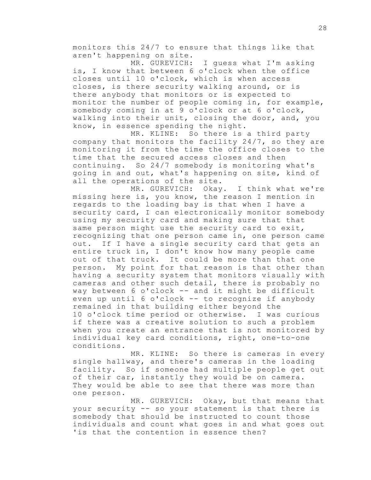monitors this 24/7 to ensure that things like that aren't happening on site.

MR. GUREVICH: I guess what I'm asking is, I know that between 6 o'clock when the office closes until 10 o'clock, which is when access closes, is there security walking around, or is there anybody that monitors or is expected to monitor the number of people coming in, for example, somebody coming in at 9 o'clock or at 6 o'clock, walking into their unit, closing the door, and, you know, in essence spending the night.

MR. KLINE: So there is a third party company that monitors the facility 24/7, so they are monitoring it from the time the office closes to the time that the secured access closes and then continuing. So 24/7 somebody is monitoring what's going in and out, what's happening on site, kind of all the operations of the site.

MR. GUREVICH: Okay. I think what we're missing here is, you know, the reason I mention in regards to the loading bay is that when I have a security card, I can electronically monitor somebody using my security card and making sure that that same person might use the security card to exit, recognizing that one person came in, one person came out. If I have a single security card that gets an entire truck in, I don't know how many people came out of that truck. It could be more than that one person. My point for that reason is that other than having a security system that monitors visually with cameras and other such detail, there is probably no way between 6 o'clock -- and it might be difficult even up until 6 o'clock -- to recognize if anybody remained in that building either beyond the 10 o'clock time period or otherwise. I was curious if there was a creative solution to such a problem when you create an entrance that is not monitored by individual key card conditions, right, one-to-one conditions.

MR. KLINE: So there is cameras in every single hallway, and there's cameras in the loading facility. So if someone had multiple people get out of their car, instantly they would be on camera. They would be able to see that there was more than one person.

MR. GUREVICH: Okay, but that means that your security -- so your statement is that there is somebody that should be instructed to count those individuals and count what goes in and what goes out 'is that the contention in essence then?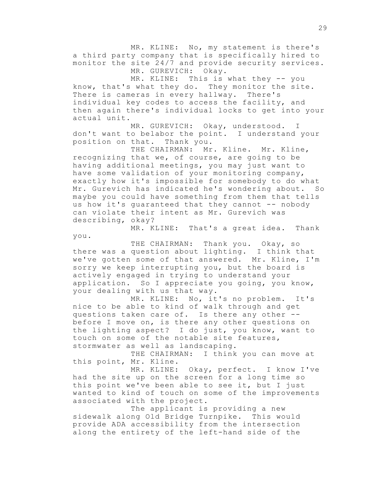MR. KLINE: No, my statement is there's a third party company that is specifically hired to monitor the site 24/7 and provide security services. MR. GUREVICH: Okay.

MR. KLINE: This is what they -- you know, that's what they do. They monitor the site. There is cameras in every hallway. There's individual key codes to access the facility, and then again there's individual locks to get into your actual unit.

MR. GUREVICH: Okay, understood. I don't want to belabor the point. I understand your position on that. Thank you.

THE CHAIRMAN: Mr. Kline. Mr. Kline, recognizing that we, of course, are going to be having additional meetings, you may just want to have some validation of your monitoring company, exactly how it's impossible for somebody to do what Mr. Gurevich has indicated he's wondering about. So maybe you could have something from them that tells us how it's guaranteed that they cannot -- nobody can violate their intent as Mr. Gurevich was describing, okay?

MR. KLINE: That's a great idea. Thank you.

THE CHAIRMAN: Thank you. Okay, so there was a question about lighting. I think that we've gotten some of that answered. Mr. Kline, I'm sorry we keep interrupting you, but the board is actively engaged in trying to understand your application. So I appreciate you going, you know, your dealing with us that way.

MR. KLINE: No, it's no problem. It's nice to be able to kind of walk through and get questions taken care of. Is there any other - before I move on, is there any other questions on the lighting aspect? I do just, you know, want to touch on some of the notable site features, stormwater as well as landscaping.

THE CHAIRMAN: I think you can move at this point, Mr. Kline.

MR. KLINE: Okay, perfect. I know I've had the site up on the screen for a long time so this point we've been able to see it, but I just wanted to kind of touch on some of the improvements associated with the project.

The applicant is providing a new sidewalk along Old Bridge Turnpike. This would provide ADA accessibility from the intersection along the entirety of the left-hand side of the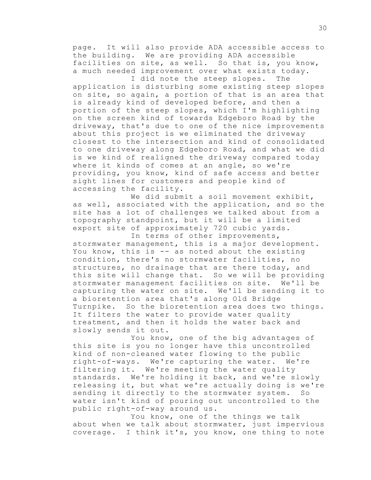page. It will also provide ADA accessible access to the building. We are providing ADA accessible facilities on site, as well. So that is, you know, a much needed improvement over what exists today.

I did note the steep slopes. The application is disturbing some existing steep slopes on site, so again, a portion of that is an area that is already kind of developed before, and then a portion of the steep slopes, which I'm highlighting on the screen kind of towards Edgeboro Road by the driveway, that's due to one of the nice improvements about this project is we eliminated the driveway closest to the intersection and kind of consolidated to one driveway along Edgeboro Road, and what we did is we kind of realigned the driveway compared today where it kinds of comes at an angle, so we're providing, you know, kind of safe access and better sight lines for customers and people kind of accessing the facility.

We did submit a soil movement exhibit, as well, associated with the application, and so the site has a lot of challenges we talked about from a topography standpoint, but it will be a limited export site of approximately 720 cubic yards.

In terms of other improvements, stormwater management, this is a major development. You know, this is -- as noted about the existing condition, there's no stormwater facilities, no structures, no drainage that are there today, and this site will change that. So we will be providing stormwater management facilities on site. We'll be<br>capturing the water on site. We'll be sending it to capturing the water on site. a bioretention area that's along Old Bridge Turnpike. So the bioretention area does two things. It filters the water to provide water quality treatment, and then it holds the water back and slowly sends it out.

You know, one of the big advantages of this site is you no longer have this uncontrolled kind of non-cleaned water flowing to the public right-of-ways. We're capturing the water. We're filtering it. We're meeting the water quality standards. We're holding it back, and we're slowly releasing it, but what we're actually doing is we're sending it directly to the stormwater system. So water isn't kind of pouring out uncontrolled to the public right-of-way around us.

You know, one of the things we talk about when we talk about stormwater, just impervious coverage. I think it's, you know, one thing to note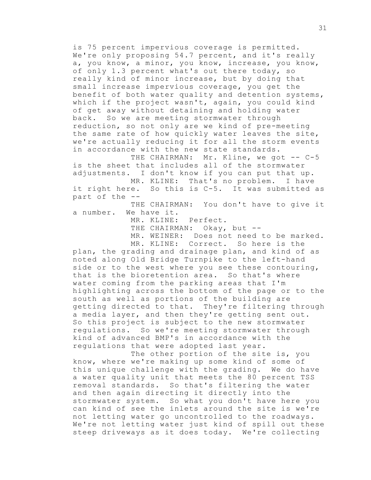is 75 percent impervious coverage is permitted. We're only proposing 54.7 percent, and it's really a, you know, a minor, you know, increase, you know, of only 1.3 percent what's out there today, so really kind of minor increase, but by doing that small increase impervious coverage, you get the benefit of both water quality and detention systems, which if the project wasn't, again, you could kind of get away without detaining and holding water back. So we are meeting stormwater through reduction, so not only are we kind of pre-meeting the same rate of how quickly water leaves the site, we're actually reducing it for all the storm events in accordance with the new state standards.

THE CHAIRMAN: Mr. Kline, we got -- C-5 is the sheet that includes all of the stormwater adjustments. I don't know if you can put that up.

MR. KLINE: That's no problem. I have it right here. So this is C-5. It was submitted as part of the --

THE CHAIRMAN: You don't have to give it a number. We have it.

MR. KLINE: Perfect.

THE CHAIRMAN: Okay, but --

MR. WEINER: Does not need to be marked. MR. KLINE: Correct. So here is the

plan, the grading and drainage plan, and kind of as noted along Old Bridge Turnpike to the left-hand side or to the west where you see these contouring, that is the bioretention area. So that's where water coming from the parking areas that I'm highlighting across the bottom of the page or to the south as well as portions of the building are getting directed to that. They're filtering through a media layer, and then they're getting sent out. So this project is subject to the new stormwater regulations. So we're meeting stormwater through kind of advanced BMP's in accordance with the regulations that were adopted last year.

The other portion of the site is, you know, where we're making up some kind of some of this unique challenge with the grading. We do have a water quality unit that meets the 80 percent TSS removal standards. So that's filtering the water and then again directing it directly into the stormwater system. So what you don't have here you can kind of see the inlets around the site is we're not letting water go uncontrolled to the roadways. We're not letting water just kind of spill out these steep driveways as it does today. We're collecting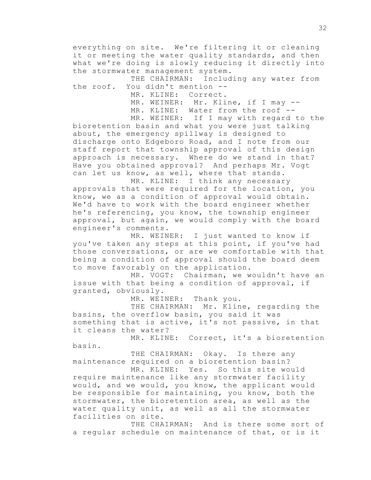everything on site. We're filtering it or cleaning it or meeting the water quality standards, and then what we're doing is slowly reducing it directly into the stormwater management system.

THE CHAIRMAN: Including any water from the roof. You didn't mention --

MR. KLINE: Correct.

MR. WEINER: Mr. Kline, if I may --

MR. KLINE: Water from the roof --

MR. WEINER: If I may with regard to the bioretention basin and what you were just talking about, the emergency spillway is designed to discharge onto Edgeboro Road, and I note from our staff report that township approval of this design approach is necessary. Where do we stand in that? Have you obtained approval? And perhaps Mr. Vogt can let us know, as well, where that stands.

MR. KLINE: I think any necessary approvals that were required for the location, you know, we as a condition of approval would obtain. We'd have to work with the board engineer whether he's referencing, you know, the township engineer approval, but again, we would comply with the board engineer's comments.

MR. WEINER: I just wanted to know if you've taken any steps at this point, if you've had those conversations, or are we comfortable with that being a condition of approval should the board deem to move favorably on the application.

MR. VOGT: Chairman, we wouldn't have an issue with that being a condition of approval, if granted, obviously.

MR. WEINER: Thank you.

THE CHAIRMAN: Mr. Kline, regarding the basins, the overflow basin, you said it was something that is active, it's not passive, in that it cleans the water?

MR. KLINE: Correct, it's a bioretention basin.

THE CHAIRMAN: Okay. Is there any maintenance required on a bioretention basin?

MR. KLINE: Yes. So this site would require maintenance like any stormwater facility would, and we would, you know, the applicant would be responsible for maintaining, you know, both the stormwater, the bioretention area, as well as the water quality unit, as well as all the stormwater facilities on site.

THE CHAIRMAN: And is there some sort of a regular schedule on maintenance of that, or is it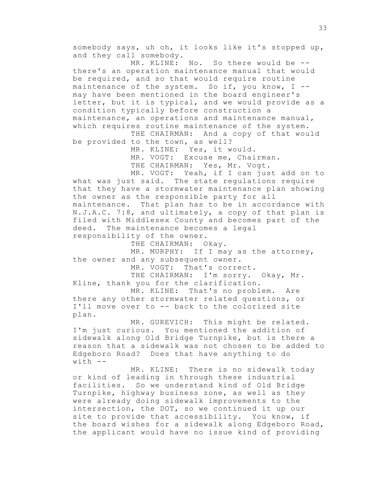somebody says, uh oh, it looks like it's stopped up, and they call somebody.

MR. KLINE: No. So there would be -there's an operation maintenance manual that would be required, and so that would require routine maintenance of the system. So if, you know,  $I$  -may have been mentioned in the board engineer's letter, but it is typical, and we would provide as a condition typically before construction a maintenance, an operations and maintenance manual, which requires routine maintenance of the system. THE CHAIRMAN: And a copy of that would

be provided to the town, as well?

MR. KLINE: Yes, it would. MR. VOGT: Excuse me, Chairman. THE CHAIRMAN: Yes, Mr. Vogt.

MR. VOGT: Yeah, if I can just add on to what was just said. The state regulations require that they have a stormwater maintenance plan showing the owner as the responsible party for all maintenance. That plan has to be in accordance with N.J.A.C. 7:8, and ultimately, a copy of that plan is filed with Middlesex County and becomes part of the deed. The maintenance becomes a legal responsibility of the owner.

THE CHAIRMAN: Okay.

MR. MURPHY: If I may as the attorney, the owner and any subsequent owner.

MR. VOGT: That's correct.

THE CHAIRMAN: I'm sorry. Okay, Mr. Kline, thank you for the clarification.

MR. KLINE: That's no problem. Are there any other stormwater related questions, or I'll move over to -- back to the colorized site plan.

MR. GUREVICH: This might be related. I'm just curious. You mentioned the addition of sidewalk along Old Bridge Turnpike, but is there a reason that a sidewalk was not chosen to be added to Edgeboro Road? Does that have anything to do  $with$   $-$ 

MR. KLINE: There is no sidewalk today or kind of leading in through these industrial facilities. So we understand kind of Old Bridge Turnpike, highway business zone, as well as they were already doing sidewalk improvements to the intersection, the DOT, so we continued it up our site to provide that accessibility. You know, if the board wishes for a sidewalk along Edgeboro Road, the applicant would have no issue kind of providing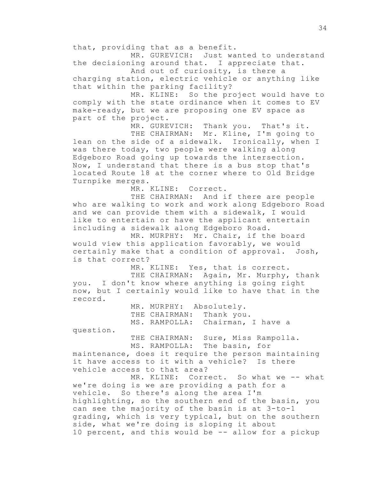that, providing that as a benefit.

MR. GUREVICH: Just wanted to understand the decisioning around that. I appreciate that.

And out of curiosity, is there a charging station, electric vehicle or anything like that within the parking facility?

MR. KLINE: So the project would have to comply with the state ordinance when it comes to EV make-ready, but we are proposing one EV space as part of the project.

MR. GUREVICH: Thank you. That's it.

THE CHAIRMAN: Mr. Kline, I'm going to lean on the side of a sidewalk. Ironically, when I was there today, two people were walking along Edgeboro Road going up towards the intersection. Now, I understand that there is a bus stop that's located Route 18 at the corner where to Old Bridge Turnpike merges.

MR. KLINE: Correct.

THE CHAIRMAN: And if there are people who are walking to work and work along Edgeboro Road and we can provide them with a sidewalk, I would like to entertain or have the applicant entertain including a sidewalk along Edgeboro Road.

MR. MURPHY: Mr. Chair, if the board would view this application favorably, we would certainly make that a condition of approval. Josh, is that correct?

MR. KLINE: Yes, that is correct.

THE CHAIRMAN: Again, Mr. Murphy, thank you. I don't know where anything is going right now, but I certainly would like to have that in the record.

> MR. MURPHY: Absolutely. THE CHAIRMAN: Thank you. MS. RAMPOLLA: Chairman, I have a

question.

THE CHAIRMAN: Sure, Miss Rampolla. MS. RAMPOLLA: The basin, for

maintenance, does it require the person maintaining it have access to it with a vehicle? Is there vehicle access to that area?

MR. KLINE: Correct. So what we -- what we're doing is we are providing a path for a vehicle. So there's along the area I'm highlighting, so the southern end of the basin, you can see the majority of the basin is at 3-to-1 grading, which is very typical, but on the southern side, what we're doing is sloping it about 10 percent, and this would be -- allow for a pickup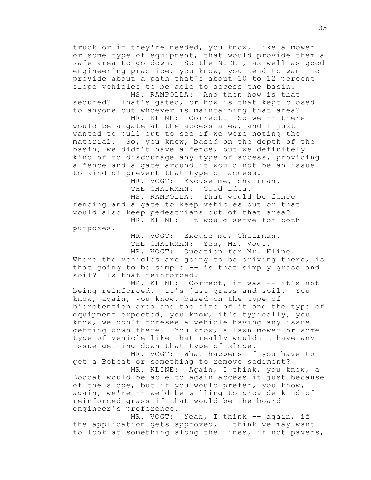truck or if they're needed, you know, like a mower or some type of equipment, that would provide them a safe area to go down. So the NJDEP, as well as good engineering practice, you know, you tend to want to provide about a path that's about 10 to 12 percent slope vehicles to be able to access the basin.

MS. RAMPOLLA: And then how is that secured? That's gated, or how is that kept closed to anyone but whoever is maintaining that area? MR. KLINE: Correct. So we -- there

would be a gate at the access area, and I just wanted to pull out to see if we were noting the material. So, you know, based on the depth of the basin, we didn't have a fence, but we definitely kind of to discourage any type of access, providing a fence and a gate around it would not be an issue to kind of prevent that type of access.

> MR. VOGT: Excuse me, chairman. THE CHAIRMAN: Good idea.

MS. RAMPOLLA: That would be fence fencing and a gate to keep vehicles out or that would also keep pedestrians out of that area? MR. KLINE: It would serve for both

purposes.

MR. VOGT: Excuse me, Chairman. THE CHAIRMAN: Yes, Mr. Vogt. MR. VOGT: Question for Mr. Kline.

Where the vehicles are going to be driving there, is that going to be simple -- is that simply grass and soil? Is that reinforced?

MR. KLINE: Correct, it was -- it's not being reinforced. It's just grass and soil. You know, again, you know, based on the type of bioretention area and the size of it and the type of equipment expected, you know, it's typically, you know, we don't foresee a vehicle having any issue getting down there. You know, a lawn mower or some type of vehicle like that really wouldn't have any issue getting down that type of slope.

MR. VOGT: What happens if you have to get a Bobcat or something to remove sediment?

MR. KLINE: Again, I think, you know, a Bobcat would be able to again access it just because of the slope, but if you would prefer, you know, again, we're -- we'd be willing to provide kind of reinforced grass if that would be the board engineer's preference.

MR. VOGT: Yeah, I think -- again, if the application gets approved, I think we may want to look at something along the lines, if not pavers,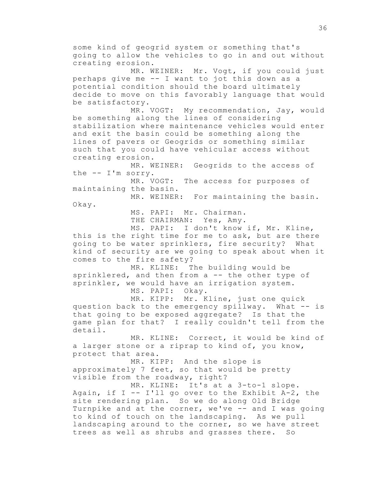some kind of geogrid system or something that's going to allow the vehicles to go in and out without creating erosion. MR. WEINER: Mr. Vogt, if you could just perhaps give me -- I want to jot this down as a potential condition should the board ultimately decide to move on this favorably language that would be satisfactory. MR. VOGT: My recommendation, Jay, would be something along the lines of considering stabilization where maintenance vehicles would enter and exit the basin could be something along the lines of pavers or Geogrids or something similar such that you could have vehicular access without creating erosion. MR. WEINER: Geogrids to the access of the -- I'm sorry. MR. VOGT: The access for purposes of maintaining the basin. MR. WEINER: For maintaining the basin. Okay. MS. PAPI: Mr. Chairman. THE CHAIRMAN: Yes, Amy. MS. PAPI: I don't know if, Mr. Kline, this is the right time for me to ask, but are there going to be water sprinklers, fire security? What kind of security are we going to speak about when it comes to the fire safety? MR. KLINE: The building would be sprinklered, and then from a -- the other type of sprinkler, we would have an irrigation system. MS. PAPI: Okay. MR. KIPP: Mr. Kline, just one quick question back to the emergency spillway. What -- is that going to be exposed aggregate? Is that the game plan for that? I really couldn't tell from the detail. MR. KLINE: Correct, it would be kind of a larger stone or a riprap to kind of, you know, protect that area. MR. KIPP: And the slope is approximately 7 feet, so that would be pretty visible from the roadway, right? MR. KLINE: It's at a 3-to-1 slope. Again, if I  $-$  I'll go over to the Exhibit A-2, the site rendering plan. So we do along Old Bridge Turnpike and at the corner, we've -- and I was going to kind of touch on the landscaping. As we pull landscaping around to the corner, so we have street trees as well as shrubs and grasses there. So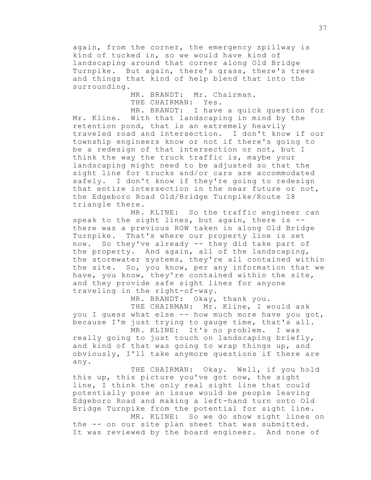again, from the corner, the emergency spillway is kind of tucked in, so we would have kind of landscaping around that corner along Old Bridge Turnpike. But again, there's grass, there's trees and things that kind of help blend that into the surrounding.

> MR. BRANDT: Mr. Chairman. THE CHAIRMAN: Yes.

MR. BRANDT: I have a quick question for Mr. Kline. With that landscaping in mind by the retention pond, that is an extremely heavily traveled road and intersection. I don't know if our township engineers know or not if there's going to be a redesign of that intersection or not, but I think the way the truck traffic is, maybe your landscaping might need to be adjusted so that the sight line for trucks and/or cars are accommodated safely. I don't know if they're going to redesign that entire intersection in the near future or not, the Edgeboro Road Old/Bridge Turnpike/Route 18 triangle there.

MR. KLINE: So the traffic engineer can speak to the sight lines, but again, there is  $-$ there was a previous ROW taken in along Old Bridge Turnpike. That's where our property line is set now. So they've already -- they did take part of the property. And again, all of the landscaping, the stormwater systems, they're all contained within the site. So, you know, per any information that we have, you know, they're contained within the site, and they provide safe sight lines for anyone traveling in the right-of-way.

MR. BRANDT: Okay, thank you.

THE CHAIRMAN: Mr. Kline, I would ask you I guess what else -- how much more have you got, because I'm just trying to gauge time, that's all.

MR. KLINE: It's no problem. I was really going to just touch on landscaping briefly, and kind of that was going to wrap things up, and obviously, I'll take anymore questions if there are any.

THE CHAIRMAN: Okay. Well, if you hold this up, this picture you've got now, the sight line, I think the only real sight line that could potentially pose an issue would be people leaving Edgeboro Road and making a left-hand turn onto Old Bridge Turnpike from the potential for sight line. MR. KLINE: So we do show sight lines on

the -- on our site plan sheet that was submitted. It was reviewed by the board engineer. And none of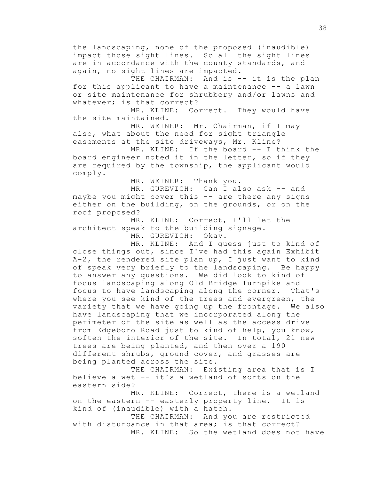the landscaping, none of the proposed (inaudible) impact those sight lines. So all the sight lines are in accordance with the county standards, and again, no sight lines are impacted.

THE CHAIRMAN: And is -- it is the plan for this applicant to have a maintenance -- a lawn or site maintenance for shrubbery and/or lawns and whatever; is that correct?

MR. KLINE: Correct. They would have the site maintained.

MR. WEINER: Mr. Chairman, if I may also, what about the need for sight triangle easements at the site driveways, Mr. Kline?

MR. KLINE: If the board -- I think the board engineer noted it in the letter, so if they are required by the township, the applicant would comply.

MR. WEINER: Thank you.

MR. GUREVICH: Can I also ask -- and maybe you might cover this -- are there any signs either on the building, on the grounds, or on the roof proposed?

MR. KLINE: Correct, I'll let the architect speak to the building signage.

MR. GUREVICH: Okay.

MR. KLINE: And I guess just to kind of close things out, since I've had this again Exhibit A-2, the rendered site plan up, I just want to kind of speak very briefly to the landscaping. Be happy to answer any questions. We did look to kind of focus landscaping along Old Bridge Turnpike and focus to have landscaping along the corner. That's where you see kind of the trees and evergreen, the variety that we have going up the frontage. We also have landscaping that we incorporated along the perimeter of the site as well as the access drive from Edgeboro Road just to kind of help, you know, soften the interior of the site. In total, 21 new trees are being planted, and then over a 190 different shrubs, ground cover, and grasses are being planted across the site.

THE CHAIRMAN: Existing area that is I believe a wet -- it's a wetland of sorts on the eastern side?

MR. KLINE: Correct, there is a wetland on the eastern -- easterly property line. It is kind of (inaudible) with a hatch.

THE CHAIRMAN: And you are restricted with disturbance in that area; is that correct? MR. KLINE: So the wetland does not have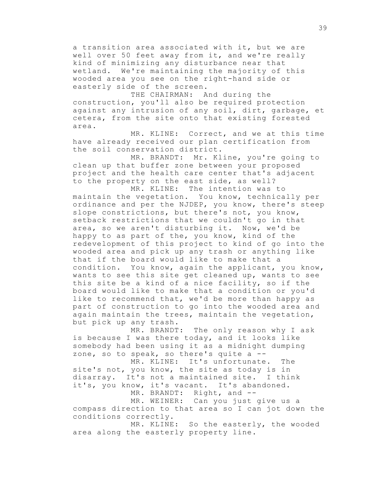a transition area associated with it, but we are well over 50 feet away from it, and we're really kind of minimizing any disturbance near that wetland. We're maintaining the majority of this wooded area you see on the right-hand side or easterly side of the screen.

THE CHAIRMAN: And during the construction, you'll also be required protection against any intrusion of any soil, dirt, garbage, et cetera, from the site onto that existing forested area.

MR. KLINE: Correct, and we at this time have already received our plan certification from the soil conservation district.

MR. BRANDT: Mr. Kline, you're going to clean up that buffer zone between your proposed project and the health care center that's adjacent to the property on the east side, as well?

MR. KLINE: The intention was to maintain the vegetation. You know, technically per ordinance and per the NJDEP, you know, there's steep slope constrictions, but there's not, you know, setback restrictions that we couldn't go in that area, so we aren't disturbing it. Now, we'd be happy to as part of the, you know, kind of the redevelopment of this project to kind of go into the wooded area and pick up any trash or anything like that if the board would like to make that a condition. You know, again the applicant, you know, wants to see this site get cleaned up, wants to see this site be a kind of a nice facility, so if the board would like to make that a condition or you'd like to recommend that, we'd be more than happy as part of construction to go into the wooded area and again maintain the trees, maintain the vegetation, but pick up any trash.

MR. BRANDT: The only reason why I ask is because I was there today, and it looks like somebody had been using it as a midnight dumping zone, so to speak, so there's quite a --

MR. KLINE: It's unfortunate. The site's not, you know, the site as today is in disarray. It's not a maintained site. I think it's, you know, it's vacant. It's abandoned.

MR. BRANDT: Right, and --

MR. WEINER: Can you just give us a compass direction to that area so I can jot down the conditions correctly.

MR. KLINE: So the easterly, the wooded area along the easterly property line.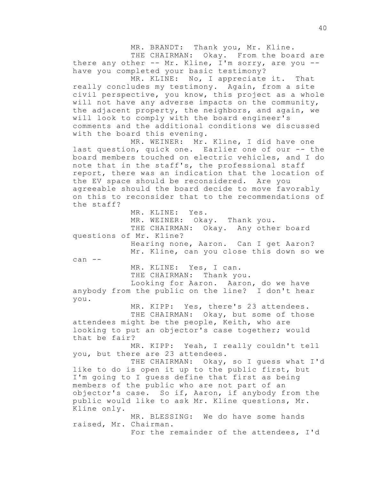MR. BRANDT: Thank you, Mr. Kline. THE CHAIRMAN: Okay. From the board are there any other -- Mr. Kline, I'm sorry, are you -have you completed your basic testimony? MR. KLINE: No, I appreciate it. That really concludes my testimony. Again, from a site civil perspective, you know, this project as a whole will not have any adverse impacts on the community, the adjacent property, the neighbors, and again, we will look to comply with the board engineer's comments and the additional conditions we discussed with the board this evening. MR. WEINER: Mr. Kline, I did have one last question, quick one. Earlier one of our -- the board members touched on electric vehicles, and I do note that in the staff's, the professional staff report, there was an indication that the location of the EV space should be reconsidered. Are you agreeable should the board decide to move favorably on this to reconsider that to the recommendations of the staff? MR. KLINE: Yes. MR. WEINER: Okay. Thank you. THE CHAIRMAN: Okay. Any other board questions of Mr. Kline? Hearing none, Aaron. Can I get Aaron? Mr. Kline, can you close this down so we can --MR. KLINE: Yes, I can. THE CHAIRMAN: Thank you. Looking for Aaron. Aaron, do we have anybody from the public on the line? I don't hear you. MR. KIPP: Yes, there's 23 attendees. THE CHAIRMAN: Okay, but some of those attendees might be the people, Keith, who are looking to put an objector's case together; would that be fair? MR. KIPP: Yeah, I really couldn't tell you, but there are 23 attendees. THE CHAIRMAN: Okay, so I guess what I'd like to do is open it up to the public first, but I'm going to I guess define that first as being members of the public who are not part of an objector's case. So if, Aaron, if anybody from the public would like to ask Mr. Kline questions, Mr. Kline only. MR. BLESSING: We do have some hands raised, Mr. Chairman. For the remainder of the attendees, I'd

40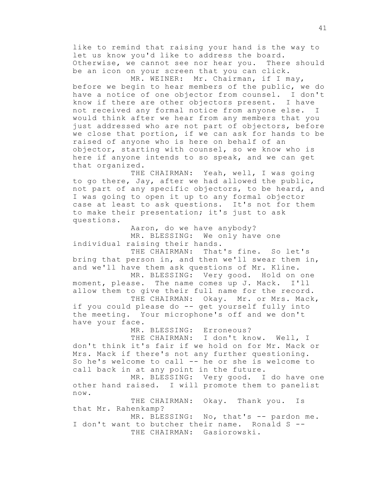like to remind that raising your hand is the way to let us know you'd like to address the board. Otherwise, we cannot see nor hear you. There should be an icon on your screen that you can click.

MR. WEINER: Mr. Chairman, if I may, before we begin to hear members of the public, we do have a notice of one objector from counsel. I don't know if there are other objectors present. I have not received any formal notice from anyone else. I would think after we hear from any members that you just addressed who are not part of objectors, before we close that portion, if we can ask for hands to be raised of anyone who is here on behalf of an objector, starting with counsel, so we know who is here if anyone intends to so speak, and we can get that organized.

THE CHAIRMAN: Yeah, well, I was going to go there, Jay, after we had allowed the public, not part of any specific objectors, to be heard, and I was going to open it up to any formal objector case at least to ask questions. It's not for them to make their presentation; it's just to ask questions.

Aaron, do we have anybody? MR. BLESSING: We only have one individual raising their hands.

THE CHAIRMAN: That's fine. So let's bring that person in, and then we'll swear them in, and we'll have them ask questions of Mr. Kline.

MR. BLESSING: Very good. Hold on one moment, please. The name comes up J. Mack. I'll allow them to give their full name for the record. THE CHAIRMAN: Okay. Mr. or Mrs. Mack,

if you could please do -- get yourself fully into the meeting. Your microphone's off and we don't have your face.

MR. BLESSING: Erroneous?

THE CHAIRMAN: I don't know. Well, I don't think it's fair if we hold on for Mr. Mack or Mrs. Mack if there's not any further questioning. So he's welcome to call -- he or she is welcome to call back in at any point in the future.

MR. BLESSING: Very good. I do have one other hand raised. I will promote them to panelist now.

THE CHAIRMAN: Okay. Thank you. Is that Mr. Rahenkamp?

MR. BLESSING: No, that's -- pardon me. I don't want to butcher their name. Ronald S -- THE CHAIRMAN: Gasiorowski.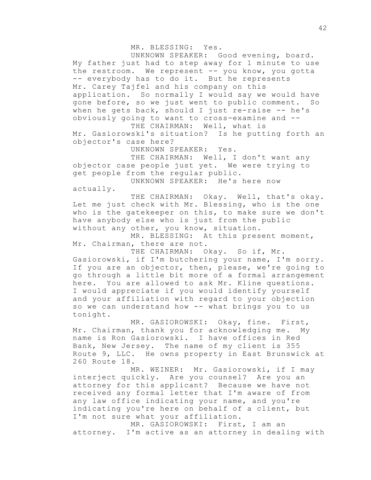MR. BLESSING: Yes.

UNKNOWN SPEAKER: Good evening, board. My father just had to step away for 1 minute to use the restroom. We represent -- you know, you gotta -- everybody has to do it. But he represents Mr. Carey Tajfel and his company on this application. So normally I would say we would have gone before, so we just went to public comment. So when he gets back, should I just re-raise  $-$  he's obviously going to want to cross-examine and -- THE CHAIRMAN: Well, what is

Mr. Gasiorowski's situation? Is he putting forth an objector's case here?

UNKNOWN SPEAKER: Yes.

THE CHAIRMAN: Well, I don't want any objector case people just yet. We were trying to get people from the regular public.

UNKNOWN SPEAKER: He's here now

actually.

THE CHAIRMAN: Okay. Well, that's okay. Let me just check with Mr. Blessing, who is the one who is the gatekeeper on this, to make sure we don't have anybody else who is just from the public without any other, you know, situation.

MR. BLESSING: At this present moment, Mr. Chairman, there are not.

THE CHAIRMAN: Okay. So if, Mr. Gasiorowski, if I'm butchering your name, I'm sorry. If you are an objector, then, please, we're going to go through a little bit more of a formal arrangement here. You are allowed to ask Mr. Kline questions. I would appreciate if you would identify yourself and your affiliation with regard to your objection so we can understand how -- what brings you to us tonight.

MR. GASIOROWSKI: Okay, fine. First, Mr. Chairman, thank you for acknowledging me. My name is Ron Gasiorowski. I have offices in Red Bank, New Jersey. The name of my client is 355 Route 9, LLC. He owns property in East Brunswick at 260 Route 18.

MR. WEINER: Mr. Gasiorowski, if I may interject quickly. Are you counsel? Are you an attorney for this applicant? Because we have not received any formal letter that I'm aware of from any law office indicating your name, and you're indicating you're here on behalf of a client, but I'm not sure what your affiliation.

MR. GASIOROWSKI: First, I am an attorney. I'm active as an attorney in dealing with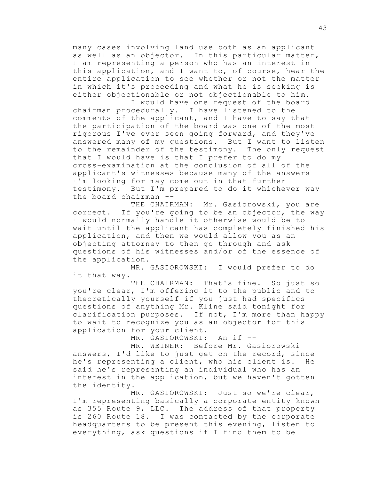many cases involving land use both as an applicant as well as an objector. In this particular matter, I am representing a person who has an interest in this application, and I want to, of course, hear the entire application to see whether or not the matter in which it's proceeding and what he is seeking is either objectionable or not objectionable to him.

I would have one request of the board chairman procedurally. I have listened to the comments of the applicant, and I have to say that the participation of the board was one of the most rigorous I've ever seen going forward, and they've answered many of my questions. But I want to listen to the remainder of the testimony. The only request that I would have is that I prefer to do my cross-examination at the conclusion of all of the applicant's witnesses because many of the answers I'm looking for may come out in that further testimony. But I'm prepared to do it whichever way the board chairman --

THE CHAIRMAN: Mr. Gasiorowski, you are correct. If you're going to be an objector, the way I would normally handle it otherwise would be to wait until the applicant has completely finished his application, and then we would allow you as an objecting attorney to then go through and ask questions of his witnesses and/or of the essence of the application.

MR. GASIOROWSKI: I would prefer to do it that way.

THE CHAIRMAN: That's fine. So just so you're clear, I'm offering it to the public and to theoretically yourself if you just had specifics questions of anything Mr. Kline said tonight for clarification purposes. If not, I'm more than happy to wait to recognize you as an objector for this application for your client.

MR. GASIOROWSKI: An if --

MR. WEINER: Before Mr. Gasiorowski answers, I'd like to just get on the record, since he's representing a client, who his client is. He said he's representing an individual who has an interest in the application, but we haven't gotten the identity.

MR. GASIOROWSKI: Just so we're clear, I'm representing basically a corporate entity known as 355 Route 9, LLC. The address of that property is 260 Route 18. I was contacted by the corporate headquarters to be present this evening, listen to everything, ask questions if I find them to be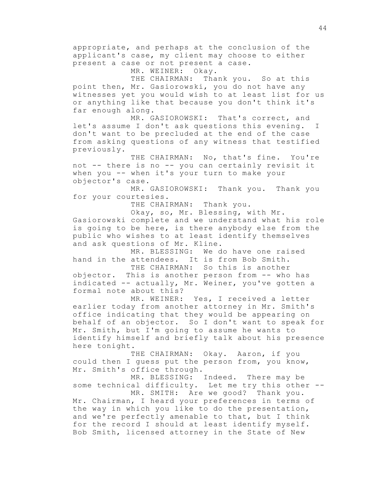appropriate, and perhaps at the conclusion of the applicant's case, my client may choose to either present a case or not present a case.

MR. WEINER: Okay.

THE CHAIRMAN: Thank you. So at this point then, Mr. Gasiorowski, you do not have any witnesses yet you would wish to at least list for us or anything like that because you don't think it's far enough along.

MR. GASIOROWSKI: That's correct, and let's assume I don't ask questions this evening. I don't want to be precluded at the end of the case from asking questions of any witness that testified previously.

THE CHAIRMAN: No, that's fine. You're not -- there is no -- you can certainly revisit it when you -- when it's your turn to make your objector's case.

MR. GASIOROWSKI: Thank you. Thank you for your courtesies.

THE CHAIRMAN: Thank you.

Okay, so, Mr. Blessing, with Mr. Gasiorowski complete and we understand what his role is going to be here, is there anybody else from the public who wishes to at least identify themselves

and ask questions of Mr. Kline.

MR. BLESSING: We do have one raised hand in the attendees. It is from Bob Smith.

THE CHAIRMAN: So this is another objector. This is another person from -- who has indicated -- actually, Mr. Weiner, you've gotten a formal note about this?

MR. WEINER: Yes, I received a letter earlier today from another attorney in Mr. Smith's office indicating that they would be appearing on behalf of an objector. So I don't want to speak for Mr. Smith, but I'm going to assume he wants to identify himself and briefly talk about his presence here tonight.

THE CHAIRMAN: Okay. Aaron, if you could then I guess put the person from, you know, Mr. Smith's office through.

MR. BLESSING: Indeed. There may be some technical difficulty. Let me try this other --

MR. SMITH: Are we good? Thank you. Mr. Chairman, I heard your preferences in terms of the way in which you like to do the presentation, and we're perfectly amenable to that, but I think for the record I should at least identify myself. Bob Smith, licensed attorney in the State of New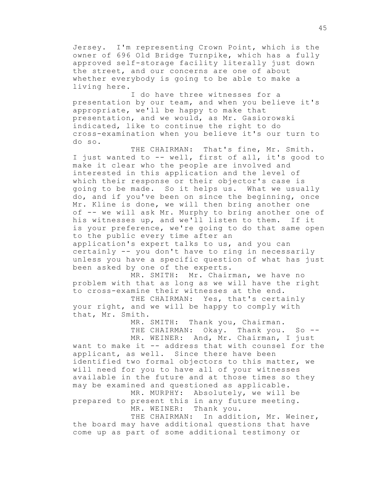Jersey. I'm representing Crown Point, which is the owner of 696 Old Bridge Turnpike, which has a fully approved self-storage facility literally just down the street, and our concerns are one of about whether everybody is going to be able to make a living here.

I do have three witnesses for a presentation by our team, and when you believe it's appropriate, we'll be happy to make that presentation, and we would, as Mr. Gasiorowski indicated, like to continue the right to do cross-examination when you believe it's our turn to do so.

THE CHAIRMAN: That's fine, Mr. Smith. I just wanted to -- well, first of all, it's good to make it clear who the people are involved and interested in this application and the level of which their response or their objector's case is going to be made. So it helps us. What we usually do, and if you've been on since the beginning, once Mr. Kline is done, we will then bring another one of -- we will ask Mr. Murphy to bring another one of his witnesses up, and we'll listen to them. If it is your preference, we're going to do that same open to the public every time after an application's expert talks to us, and you can certainly -- you don't have to ring in necessarily

unless you have a specific question of what has just been asked by one of the experts. MR. SMITH: Mr. Chairman, we have no

problem with that as long as we will have the right to cross-examine their witnesses at the end.

THE CHAIRMAN: Yes, that's certainly your right, and we will be happy to comply with that, Mr. Smith.

> MR. SMITH: Thank you, Chairman. THE CHAIRMAN: Okay. Thank you. So --MR. WEINER: And, Mr. Chairman, I just

want to make it -- address that with counsel for the applicant, as well. Since there have been identified two formal objectors to this matter, we will need for you to have all of your witnesses available in the future and at those times so they may be examined and questioned as applicable.

MR. MURPHY: Absolutely, we will be prepared to present this in any future meeting. MR. WEINER: Thank you.

THE CHAIRMAN: In addition, Mr. Weiner, the board may have additional questions that have come up as part of some additional testimony or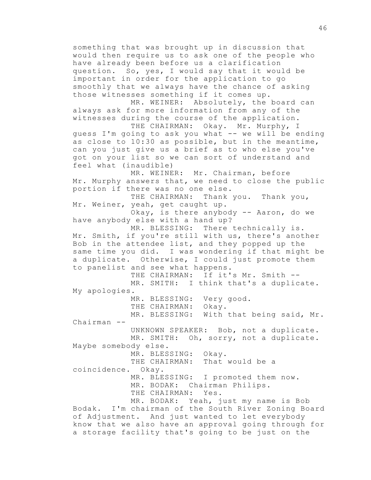something that was brought up in discussion that would then require us to ask one of the people who have already been before us a clarification question. So, yes, I would say that it would be important in order for the application to go smoothly that we always have the chance of asking those witnesses something if it comes up. MR. WEINER: Absolutely, the board can always ask for more information from any of the witnesses during the course of the application. THE CHAIRMAN: Okay. Mr. Murphy, I guess I'm going to ask you what -- we will be ending as close to 10:30 as possible, but in the meantime, can you just give us a brief as to who else you've got on your list so we can sort of understand and feel what (inaudible) MR. WEINER: Mr. Chairman, before Mr. Murphy answers that, we need to close the public portion if there was no one else. THE CHAIRMAN: Thank you. Thank you, Mr. Weiner, yeah, get caught up. Okay, is there anybody -- Aaron, do we have anybody else with a hand up? MR. BLESSING: There technically is. Mr. Smith, if you're still with us, there's another Bob in the attendee list, and they popped up the same time you did. I was wondering if that might be a duplicate. Otherwise, I could just promote them to panelist and see what happens. THE CHAIRMAN: If it's Mr. Smith --MR. SMITH: I think that's a duplicate. My apologies. MR. BLESSING: Very good. THE CHAIRMAN: Okay. MR. BLESSING: With that being said, Mr. Chairman -- UNKNOWN SPEAKER: Bob, not a duplicate. MR. SMITH: Oh, sorry, not a duplicate. Maybe somebody else. MR. BLESSING: Okay. THE CHAIRMAN: That would be a coincidence. Okay. MR. BLESSING: I promoted them now. MR. BODAK: Chairman Philips. THE CHAIRMAN: Yes. MR. BODAK: Yeah, just my name is Bob Bodak. I'm chairman of the South River Zoning Board of Adjustment. And just wanted to let everybody know that we also have an approval going through for a storage facility that's going to be just on the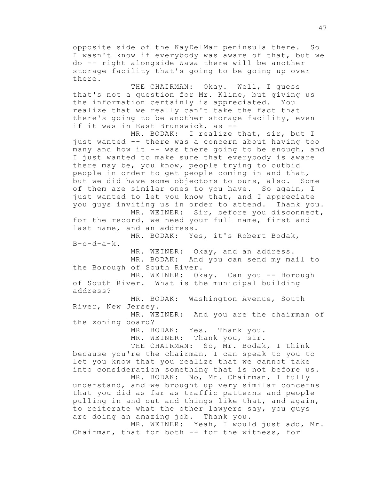opposite side of the KayDelMar peninsula there. So I wasn't know if everybody was aware of that, but we do -- right alongside Wawa there will be another storage facility that's going to be going up over there.

THE CHAIRMAN: Okay. Well, I guess that's not a question for Mr. Kline, but giving us the information certainly is appreciated. You realize that we really can't take the fact that there's going to be another storage facility, even if it was in East Brunswick, as --

MR. BODAK: I realize that, sir, but I just wanted -- there was a concern about having too many and how it -- was there going to be enough, and I just wanted to make sure that everybody is aware there may be, you know, people trying to outbid people in order to get people coming in and that, but we did have some objectors to ours, also. Some of them are similar ones to you have. So again, I just wanted to let you know that, and I appreciate you guys inviting us in order to attend. Thank you.

MR. WEINER: Sir, before you disconnect, for the record, we need your full name, first and last name, and an address.

MR. BODAK: Yes, it's Robert Bodak,  $B-o-d-a-k.$ 

MR. WEINER: Okay, and an address. MR. BODAK: And you can send my mail to the Borough of South River.

MR. WEINER: Okay. Can you -- Borough of South River. What is the municipal building address?

MR. BODAK: Washington Avenue, South River, New Jersey.

MR. WEINER: And you are the chairman of the zoning board?

> MR. BODAK: Yes. Thank you. MR. WEINER: Thank you, sir.

THE CHAIRMAN: So, Mr. Bodak, I think because you're the chairman, I can speak to you to let you know that you realize that we cannot take into consideration something that is not before us.

MR. BODAK: No, Mr. Chairman, I fully understand, and we brought up very similar concerns that you did as far as traffic patterns and people pulling in and out and things like that, and again, to reiterate what the other lawyers say, you guys are doing an amazing job. Thank you.

MR. WEINER: Yeah, I would just add, Mr. Chairman, that for both -- for the witness, for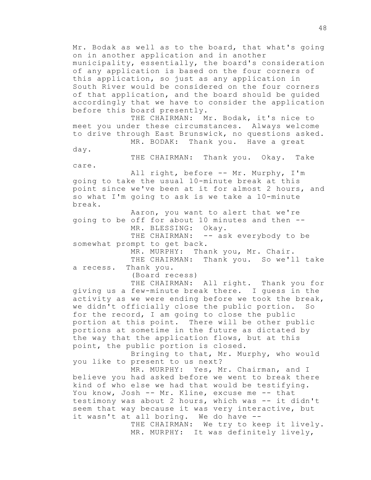Mr. Bodak as well as to the board, that what's going on in another application and in another municipality, essentially, the board's consideration of any application is based on the four corners of this application, so just as any application in South River would be considered on the four corners of that application, and the board should be guided accordingly that we have to consider the application before this board presently.

THE CHAIRMAN: Mr. Bodak, it's nice to meet you under these circumstances. Always welcome to drive through East Brunswick, no questions asked. MR. BODAK: Thank you. Have a great

day.

THE CHAIRMAN: Thank you. Okay. Take care.

All right, before -- Mr. Murphy, I'm going to take the usual 10-minute break at this point since we've been at it for almost 2 hours, and so what I'm going to ask is we take a 10-minute break.

Aaron, you want to alert that we're going to be off for about 10 minutes and then -- MR. BLESSING: Okay. THE CHAIRMAN: -- ask everybody to be

somewhat prompt to get back.

MR. MURPHY: Thank you, Mr. Chair.

THE CHAIRMAN: Thank you. So we'll take a recess. Thank you.

(Board recess)

THE CHAIRMAN: All right. Thank you for giving us a few-minute break there. I guess in the activity as we were ending before we took the break, we didn't officially close the public portion. So for the record, I am going to close the public portion at this point. There will be other public portions at sometime in the future as dictated by the way that the application flows, but at this point, the public portion is closed.

Bringing to that, Mr. Murphy, who would you like to present to us next?

MR. MURPHY: Yes, Mr. Chairman, and I believe you had asked before we went to break there kind of who else we had that would be testifying. You know, Josh -- Mr. Kline, excuse me -- that testimony was about 2 hours, which was -- it didn't seem that way because it was very interactive, but it wasn't at all boring. We do have --

THE CHAIRMAN: We try to keep it lively. MR. MURPHY: It was definitely lively,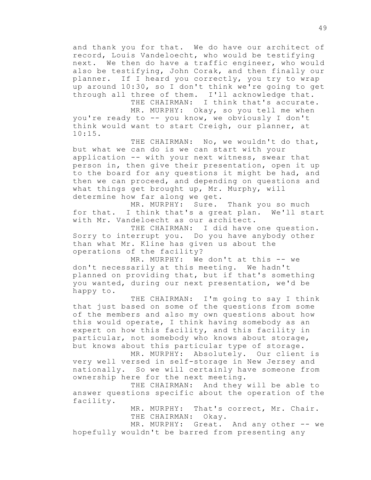and thank you for that. We do have our architect of record, Louis Vandeloecht, who would be testifying next. We then do have a traffic engineer, who would also be testifying, John Corak, and then finally our planner. If I heard you correctly, you try to wrap up around 10:30, so I don't think we're going to get through all three of them. I'll acknowledge that.

THE CHAIRMAN: I think that's accurate. MR. MURPHY: Okay, so you tell me when you're ready to -- you know, we obviously I don't think would want to start Creigh, our planner, at 10:15.

THE CHAIRMAN: No, we wouldn't do that, but what we can do is we can start with your application -- with your next witness, swear that person in, then give their presentation, open it up to the board for any questions it might be had, and then we can proceed, and depending on questions and what things get brought up, Mr. Murphy, will determine how far along we get.

MR. MURPHY: Sure. Thank you so much for that. I think that's a great plan. We'll start with Mr. Vandeloecht as our architect.

THE CHAIRMAN: I did have one question. Sorry to interrupt you. Do you have anybody other than what Mr. Kline has given us about the operations of the facility?

MR. MURPHY: We don't at this -- we don't necessarily at this meeting. We hadn't planned on providing that, but if that's something you wanted, during our next presentation, we'd be happy to.

THE CHAIRMAN: I'm going to say I think that just based on some of the questions from some of the members and also my own questions about how this would operate, I think having somebody as an expert on how this facility, and this facility in particular, not somebody who knows about storage, but knows about this particular type of storage.

MR. MURPHY: Absolutely. Our client is very well versed in self-storage in New Jersey and nationally. So we will certainly have someone from ownership here for the next meeting.

THE CHAIRMAN: And they will be able to answer questions specific about the operation of the facility.

> MR. MURPHY: That's correct, Mr. Chair. THE CHAIRMAN: Okay.

MR. MURPHY: Great. And any other -- we hopefully wouldn't be barred from presenting any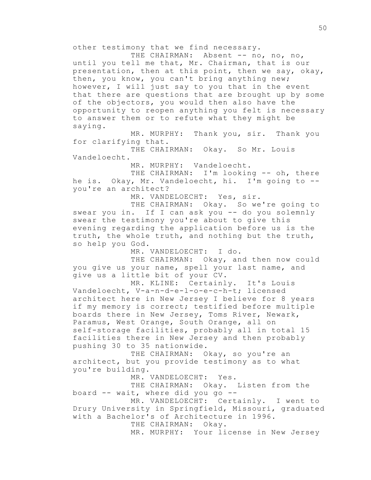other testimony that we find necessary.

THE CHAIRMAN: Absent -- no, no, no, until you tell me that, Mr. Chairman, that is our presentation, then at this point, then we say, okay, then, you know, you can't bring anything new; however, I will just say to you that in the event that there are questions that are brought up by some of the objectors, you would then also have the opportunity to reopen anything you felt is necessary to answer them or to refute what they might be saying.

MR. MURPHY: Thank you, sir. Thank you for clarifying that.

THE CHAIRMAN: Okay. So Mr. Louis Vandeloecht.

MR. MURPHY: Vandeloecht.

THE CHAIRMAN: I'm looking -- oh, there he is. Okay, Mr. Vandeloecht, hi. I'm going to - you're an architect?

MR. VANDELOECHT: Yes, sir.

THE CHAIRMAN: Okay. So we're going to swear you in. If I can ask you -- do you solemnly swear the testimony you're about to give this evening regarding the application before us is the truth, the whole truth, and nothing but the truth, so help you God.

MR. VANDELOECHT: I do.

THE CHAIRMAN: Okay, and then now could you give us your name, spell your last name, and give us a little bit of your CV.

MR. KLINE: Certainly. It's Louis Vandeloecht, V-a-n-d-e-l-o-e-c-h-t; licensed architect here in New Jersey I believe for 8 years if my memory is correct; testified before multiple boards there in New Jersey, Toms River, Newark, Paramus, West Orange, South Orange, all on self-storage facilities, probably all in total 15 facilities there in New Jersey and then probably pushing 30 to 35 nationwide.

THE CHAIRMAN: Okay, so you're an architect, but you provide testimony as to what you're building.

MR. VANDELOECHT: Yes.

THE CHAIRMAN: Okay. Listen from the board -- wait, where did you go --

MR. VANDELOECHT: Certainly. I went to Drury University in Springfield, Missouri, graduated with a Bachelor's of Architecture in 1996.

THE CHAIRMAN: Okay.

MR. MURPHY: Your license in New Jersey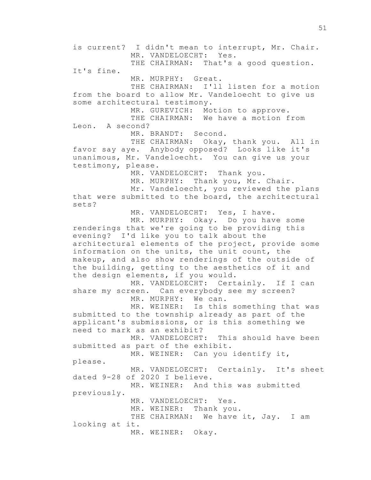is current? I didn't mean to interrupt, Mr. Chair. MR. VANDELOECHT: Yes. THE CHAIRMAN: That's a good question. It's fine. MR. MURPHY: Great. THE CHAIRMAN: I'll listen for a motion from the board to allow Mr. Vandeloecht to give us some architectural testimony. MR. GUREVICH: Motion to approve. THE CHAIRMAN: We have a motion from Leon. A second? MR. BRANDT: Second. THE CHAIRMAN: Okay, thank you. All in favor say aye. Anybody opposed? Looks like it's unanimous, Mr. Vandeloecht. You can give us your testimony, please. MR. VANDELOECHT: Thank you. MR. MURPHY: Thank you, Mr. Chair. Mr. Vandeloecht, you reviewed the plans that were submitted to the board, the architectural sets? MR. VANDELOECHT: Yes, I have. MR. MURPHY: Okay. Do you have some renderings that we're going to be providing this evening? I'd like you to talk about the architectural elements of the project, provide some information on the units, the unit count, the makeup, and also show renderings of the outside of the building, getting to the aesthetics of it and the design elements, if you would. MR. VANDELOECHT: Certainly. If I can share my screen. Can everybody see my screen? MR. MURPHY: We can. MR. WEINER: Is this something that was submitted to the township already as part of the applicant's submissions, or is this something we need to mark as an exhibit? MR. VANDELOECHT: This should have been submitted as part of the exhibit. MR. WEINER: Can you identify it, please. MR. VANDELOECHT: Certainly. It's sheet dated 9-28 of 2020 I believe. MR. WEINER: And this was submitted previously. MR. VANDELOECHT: Yes. MR. WEINER: Thank you. THE CHAIRMAN: We have it, Jay. I am looking at it. MR. WEINER: Okay.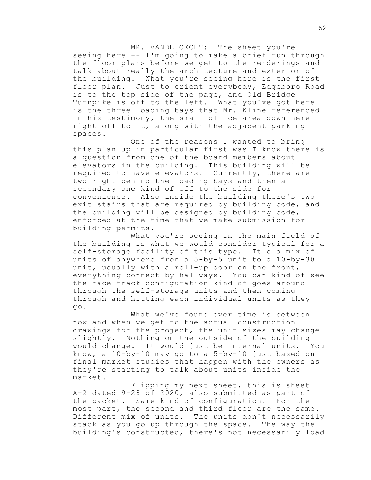MR. VANDELOECHT: The sheet you're seeing here -- I'm going to make a brief run through the floor plans before we get to the renderings and talk about really the architecture and exterior of the building. What you're seeing here is the first floor plan. Just to orient everybody, Edgeboro Road is to the top side of the page, and Old Bridge Turnpike is off to the left. What you've got here is the three loading bays that Mr. Kline referenced in his testimony, the small office area down here right off to it, along with the adjacent parking spaces.

One of the reasons I wanted to bring this plan up in particular first was I know there is a question from one of the board members about elevators in the building. This building will be required to have elevators. Currently, there are two right behind the loading bays and then a secondary one kind of off to the side for convenience. Also inside the building there's two exit stairs that are required by building code, and the building will be designed by building code, enforced at the time that we make submission for building permits.

What you're seeing in the main field of the building is what we would consider typical for a self-storage facility of this type. It's a mix of units of anywhere from a 5-by-5 unit to a 10-by-30 unit, usually with a roll-up door on the front, everything connect by hallways. You can kind of see the race track configuration kind of goes around through the self-storage units and then coming through and hitting each individual units as they go.

What we've found over time is between now and when we get to the actual construction drawings for the project, the unit sizes may change slightly. Nothing on the outside of the building would change. It would just be internal units. You know, a 10-by-10 may go to a 5-by-10 just based on final market studies that happen with the owners as they're starting to talk about units inside the market.

Flipping my next sheet, this is sheet A-2 dated 9-28 of 2020, also submitted as part of the packet. Same kind of configuration. For the most part, the second and third floor are the same. Different mix of units. The units don't necessarily stack as you go up through the space. The way the building's constructed, there's not necessarily load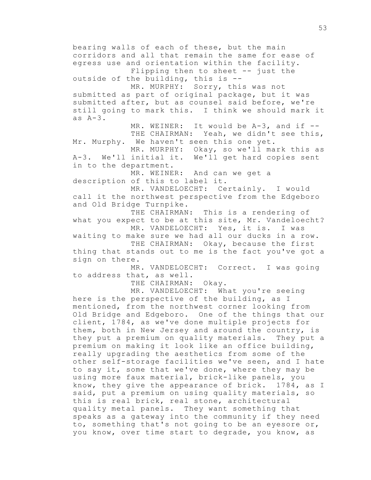bearing walls of each of these, but the main corridors and all that remain the same for ease of egress use and orientation within the facility. Flipping then to sheet -- just the outside of the building, this is -- MR. MURPHY: Sorry, this was not submitted as part of original package, but it was submitted after, but as counsel said before, we're still going to mark this. I think we should mark it as A-3. MR. WEINER: It would be A-3, and if --THE CHAIRMAN: Yeah, we didn't see this, Mr. Murphy. We haven't seen this one yet. MR. MURPHY: Okay, so we'll mark this as A-3. We'll initial it. We'll get hard copies sent in to the department. MR. WEINER: And can we get a description of this to label it. MR. VANDELOECHT: Certainly. I would call it the northwest perspective from the Edgeboro and Old Bridge Turnpike. THE CHAIRMAN: This is a rendering of what you expect to be at this site, Mr. Vandeloecht? MR. VANDELOECHT: Yes, it is. I was waiting to make sure we had all our ducks in a row. THE CHAIRMAN: Okay, because the first thing that stands out to me is the fact you've got a sign on there. MR. VANDELOECHT: Correct. I was going to address that, as well. THE CHAIRMAN: Okay. MR. VANDELOECHT: What you're seeing here is the perspective of the building, as I mentioned, from the northwest corner looking from Old Bridge and Edgeboro. One of the things that our client, 1784, as we've done multiple projects for them, both in New Jersey and around the country, is they put a premium on quality materials. They put a premium on making it look like an office building, really upgrading the aesthetics from some of the other self-storage facilities we've seen, and I hate to say it, some that we've done, where they may be using more faux material, brick-like panels, you know, they give the appearance of brick. 1784, as I said, put a premium on using quality materials, so this is real brick, real stone, architectural quality metal panels. They want something that speaks as a gateway into the community if they need to, something that's not going to be an eyesore or, you know, over time start to degrade, you know, as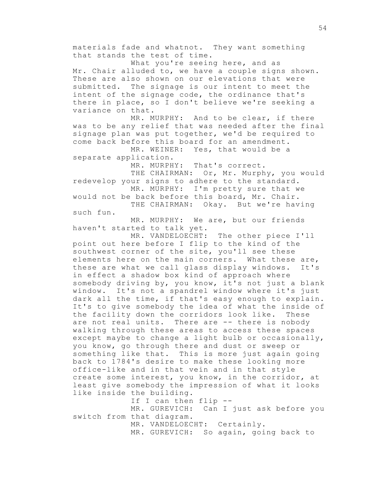materials fade and whatnot. They want something that stands the test of time.

What you're seeing here, and as Mr. Chair alluded to, we have a couple signs shown. These are also shown on our elevations that were submitted. The signage is our intent to meet the intent of the signage code, the ordinance that's there in place, so I don't believe we're seeking a variance on that.

MR. MURPHY: And to be clear, if there was to be any relief that was needed after the final signage plan was put together, we'd be required to come back before this board for an amendment.

MR. WEINER: Yes, that would be a separate application.

MR. MURPHY: That's correct.

THE CHAIRMAN: Or, Mr. Murphy, you would redevelop your signs to adhere to the standard.

MR. MURPHY: I'm pretty sure that we would not be back before this board, Mr. Chair.

THE CHAIRMAN: Okay. But we're having such fun.

MR. MURPHY: We are, but our friends haven't started to talk yet.

MR. VANDELOECHT: The other piece I'll point out here before I flip to the kind of the southwest corner of the site, you'll see these elements here on the main corners. What these are, these are what we call glass display windows. It's in effect a shadow box kind of approach where somebody driving by, you know, it's not just a blank window. It's not a spandrel window where it's just dark all the time, if that's easy enough to explain. It's to give somebody the idea of what the inside of the facility down the corridors look like. These are not real units. There are -- there is nobody walking through these areas to access these spaces except maybe to change a light bulb or occasionally, you know, go through there and dust or sweep or something like that. This is more just again going back to 1784's desire to make these looking more office-like and in that vein and in that style create some interest, you know, in the corridor, at least give somebody the impression of what it looks like inside the building.

If I can then flip --

MR. GUREVICH: Can I just ask before you switch from that diagram.

MR. VANDELOECHT: Certainly.

MR. GUREVICH: So again, going back to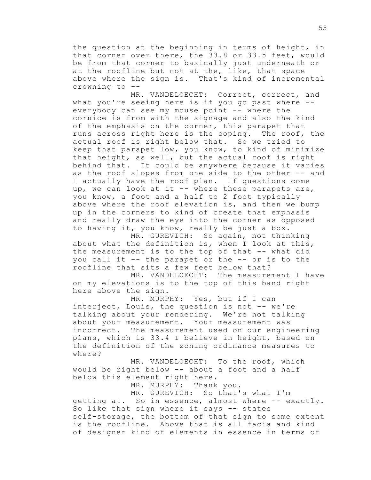the question at the beginning in terms of height, in that corner over there, the 33.8 or 33.5 feet, would be from that corner to basically just underneath or at the roofline but not at the, like, that space above where the sign is. That's kind of incremental crowning to --

MR. VANDELOECHT: Correct, correct, and what you're seeing here is if you go past where - everybody can see my mouse point -- where the cornice is from with the signage and also the kind of the emphasis on the corner, this parapet that runs across right here is the coping. The roof, the actual roof is right below that. So we tried to keep that parapet low, you know, to kind of minimize that height, as well, but the actual roof is right behind that. It could be anywhere because it varies as the roof slopes from one side to the other -- and I actually have the roof plan. If questions come up, we can look at it -- where these parapets are, you know, a foot and a half to 2 foot typically above where the roof elevation is, and then we bump up in the corners to kind of create that emphasis and really draw the eye into the corner as opposed to having it, you know, really be just a box.

MR. GUREVICH: So again, not thinking about what the definition is, when I look at this, the measurement is to the top of that -- what did you call it -- the parapet or the -- or is to the roofline that sits a few feet below that?

MR. VANDELOECHT: The measurement I have on my elevations is to the top of this band right here above the sign.

MR. MURPHY: Yes, but if I can interject, Louis, the question is not -- we're talking about your rendering. We're not talking about your measurement. Your measurement was incorrect. The measurement used on our engineering plans, which is 33.4 I believe in height, based on the definition of the zoning ordinance measures to where?

MR. VANDELOECHT: To the roof, which would be right below -- about a foot and a half below this element right here.

MR. MURPHY: Thank you.

MR. GUREVICH: So that's what I'm getting at. So in essence, almost where -- exactly. So like that sign where it says -- states self-storage, the bottom of that sign to some extent is the roofline. Above that is all facia and kind of designer kind of elements in essence in terms of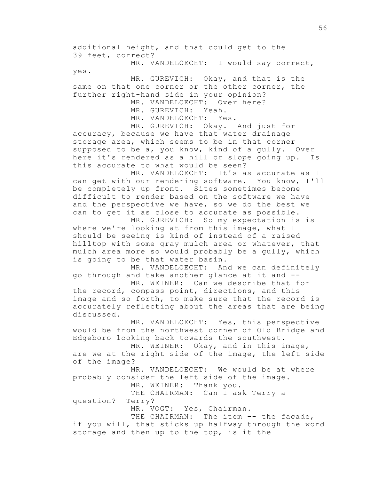additional height, and that could get to the 39 feet, correct?

MR. VANDELOECHT: I would say correct, yes.

MR. GUREVICH: Okay, and that is the same on that one corner or the other corner, the further right-hand side in your opinion?

MR. VANDELOECHT: Over here?

MR. GUREVICH: Yeah.

MR. VANDELOECHT: Yes.

MR. GUREVICH: Okay. And just for accuracy, because we have that water drainage storage area, which seems to be in that corner supposed to be a, you know, kind of a gully. Over here it's rendered as a hill or slope going up. Is this accurate to what would be seen?

MR. VANDELOECHT: It's as accurate as I can get with our rendering software. You know, I'll be completely up front. Sites sometimes become difficult to render based on the software we have and the perspective we have, so we do the best we can to get it as close to accurate as possible.

MR. GUREVICH: So my expectation is is where we're looking at from this image, what I should be seeing is kind of instead of a raised hilltop with some gray mulch area or whatever, that mulch area more so would probably be a gully, which is going to be that water basin.

MR. VANDELOECHT: And we can definitely go through and take another glance at it and --

MR. WEINER: Can we describe that for the record, compass point, directions, and this image and so forth, to make sure that the record is accurately reflecting about the areas that are being discussed.

MR. VANDELOECHT: Yes, this perspective would be from the northwest corner of Old Bridge and Edgeboro looking back towards the southwest.

MR. WEINER: Okay, and in this image, are we at the right side of the image, the left side of the image?

MR. VANDELOECHT: We would be at where probably consider the left side of the image.

MR. WEINER: Thank you.

THE CHAIRMAN: Can I ask Terry a question? Terry?

MR. VOGT: Yes, Chairman.

THE CHAIRMAN: The item -- the facade, if you will, that sticks up halfway through the word storage and then up to the top, is it the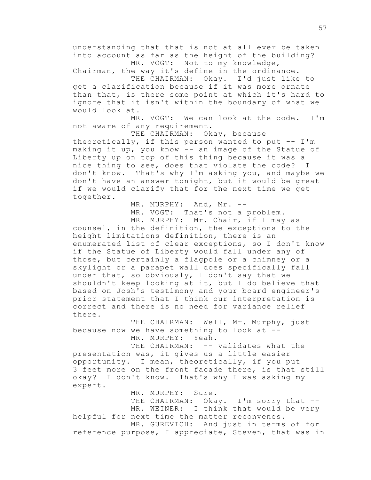understanding that that is not at all ever be taken into account as far as the height of the building? MR. VOGT: Not to my knowledge,

Chairman, the way it's define in the ordinance.

THE CHAIRMAN: Okay. I'd just like to get a clarification because if it was more ornate than that, is there some point at which it's hard to ignore that it isn't within the boundary of what we would look at.

MR. VOGT: We can look at the code. I'm not aware of any requirement.

THE CHAIRMAN: Okay, because theoretically, if this person wanted to put -- I'm making it up, you know -- an image of the Statue of Liberty up on top of this thing because it was a nice thing to see, does that violate the code? I don't know. That's why I'm asking you, and maybe we don't have an answer tonight, but it would be great if we would clarify that for the next time we get together.

> MR. MURPHY: And, Mr. --MR. VOGT: That's not a problem. MR. MURPHY: Mr. Chair, if I may as

counsel, in the definition, the exceptions to the height limitations definition, there is an enumerated list of clear exceptions, so I don't know if the Statue of Liberty would fall under any of those, but certainly a flagpole or a chimney or a skylight or a parapet wall does specifically fall under that, so obviously, I don't say that we shouldn't keep looking at it, but I do believe that based on Josh's testimony and your board engineer's prior statement that I think our interpretation is correct and there is no need for variance relief there.

THE CHAIRMAN: Well, Mr. Murphy, just because now we have something to look at -- MR. MURPHY: Yeah.

THE CHAIRMAN: -- validates what the presentation was, it gives us a little easier opportunity. I mean, theoretically, if you put 3 feet more on the front facade there, is that still okay? I don't know. That's why I was asking my expert.

MR. MURPHY: Sure. THE CHAIRMAN: Okay. I'm sorry that --MR. WEINER: I think that would be very helpful for next time the matter reconvenes. MR. GUREVICH: And just in terms of for reference purpose, I appreciate, Steven, that was in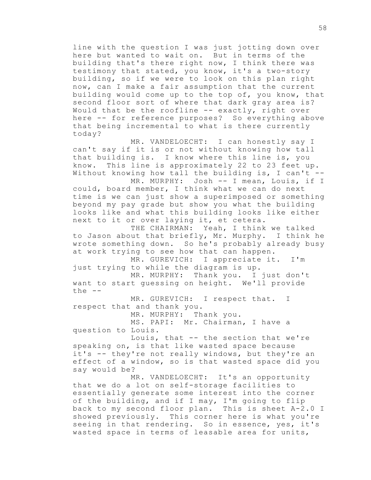line with the question I was just jotting down over here but wanted to wait on. But in terms of the building that's there right now, I think there was testimony that stated, you know, it's a two-story building, so if we were to look on this plan right now, can I make a fair assumption that the current building would come up to the top of, you know, that second floor sort of where that dark gray area is? Would that be the roofline -- exactly, right over here -- for reference purposes? So everything above that being incremental to what is there currently today?

MR. VANDELOECHT: I can honestly say I can't say if it is or not without knowing how tall that building is. I know where this line is, you know. This line is approximately 22 to 23 feet up. Without knowing how tall the building is, I can't --

MR. MURPHY: Josh -- I mean, Louis, if I could, board member, I think what we can do next time is we can just show a superimposed or something beyond my pay grade but show you what the building looks like and what this building looks like either next to it or over laying it, et cetera.

THE CHAIRMAN: Yeah, I think we talked to Jason about that briefly, Mr. Murphy. I think he wrote something down. So he's probably already busy at work trying to see how that can happen.

MR. GUREVICH: I appreciate it. I'm just trying to while the diagram is up.

MR. MURPHY: Thank you. I just don't want to start guessing on height. We'll provide the  $--$ 

MR. GUREVICH: I respect that. I respect that and thank you.

MR. MURPHY: Thank you.

MS. PAPI: Mr. Chairman, I have a question to Louis.

Louis, that -- the section that we're speaking on, is that like wasted space because it's -- they're not really windows, but they're an effect of a window, so is that wasted space did you say would be?

MR. VANDELOECHT: It's an opportunity that we do a lot on self-storage facilities to essentially generate some interest into the corner of the building, and if I may, I'm going to flip back to my second floor plan. This is sheet A-2.0 I showed previously. This corner here is what you're seeing in that rendering. So in essence, yes, it's wasted space in terms of leasable area for units,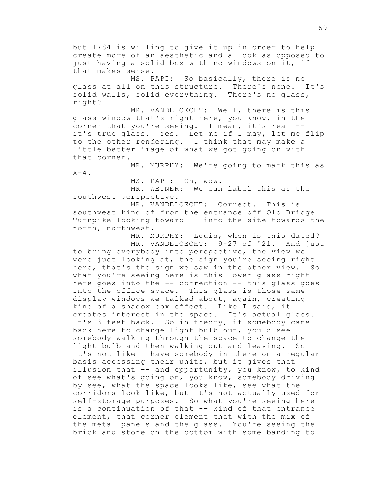but 1784 is willing to give it up in order to help create more of an aesthetic and a look as opposed to just having a solid box with no windows on it, if that makes sense.

MS. PAPI: So basically, there is no glass at all on this structure. There's none. It's solid walls, solid everything. There's no glass, right?

MR. VANDELOECHT: Well, there is this glass window that's right here, you know, in the corner that you're seeing. I mean, it's real - it's true glass. Yes. Let me if I may, let me flip to the other rendering. I think that may make a little better image of what we got going on with that corner.

MR. MURPHY: We're going to mark this as  $A-4$ .

MS. PAPI: Oh, wow.

MR. WEINER: We can label this as the southwest perspective.

MR. VANDELOECHT: Correct. This is southwest kind of from the entrance off Old Bridge Turnpike looking toward -- into the site towards the north, northwest.

> MR. MURPHY: Louis, when is this dated? MR. VANDELOECHT: 9-27 of '21. And just

to bring everybody into perspective, the view we were just looking at, the sign you're seeing right here, that's the sign we saw in the other view. So what you're seeing here is this lower glass right here goes into the -- correction -- this glass goes into the office space. This glass is those same display windows we talked about, again, creating kind of a shadow box effect. Like I said, it creates interest in the space. It's actual glass. It's 3 feet back. So in theory, if somebody came back here to change light bulb out, you'd see somebody walking through the space to change the light bulb and then walking out and leaving. So it's not like I have somebody in there on a regular basis accessing their units, but it gives that illusion that -- and opportunity, you know, to kind of see what's going on, you know, somebody driving by see, what the space looks like, see what the corridors look like, but it's not actually used for self-storage purposes. So what you're seeing here is a continuation of that -- kind of that entrance element, that corner element that with the mix of the metal panels and the glass. You're seeing the brick and stone on the bottom with some banding to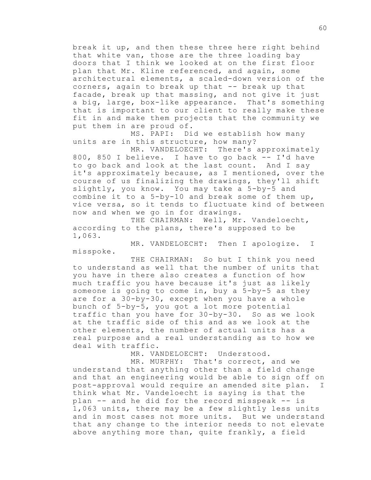break it up, and then these three here right behind that white van, those are the three loading bay doors that I think we looked at on the first floor plan that Mr. Kline referenced, and again, some architectural elements, a scaled-down version of the corners, again to break up that -- break up that facade, break up that massing, and not give it just a big, large, box-like appearance. That's something that is important to our client to really make these fit in and make them projects that the community we put them in are proud of.

MS. PAPI: Did we establish how many units are in this structure, how many?

MR. VANDELOECHT: There's approximately 800, 850 I believe. I have to go back -- I'd have to go back and look at the last count. And I say it's approximately because, as I mentioned, over the course of us finalizing the drawings, they'll shift slightly, you know. You may take a 5-by-5 and combine it to a 5-by-10 and break some of them up, vice versa, so it tends to fluctuate kind of between now and when we go in for drawings.

THE CHAIRMAN: Well, Mr. Vandeloecht, according to the plans, there's supposed to be 1,063.

MR. VANDELOECHT: Then I apologize. I misspoke.

THE CHAIRMAN: So but I think you need to understand as well that the number of units that you have in there also creates a function of how much traffic you have because it's just as likely someone is going to come in, buy a 5-by-5 as they are for a 30-by-30, except when you have a whole bunch of 5-by-5, you got a lot more potential traffic than you have for 30-by-30. So as we look at the traffic side of this and as we look at the other elements, the number of actual units has a real purpose and a real understanding as to how we deal with traffic.

MR. VANDELOECHT: Understood.

MR. MURPHY: That's correct, and we understand that anything other than a field change and that an engineering would be able to sign off on post-approval would require an amended site plan. I think what Mr. Vandeloecht is saying is that the plan -- and he did for the record misspeak -- is 1,063 units, there may be a few slightly less units and in most cases not more units. But we understand that any change to the interior needs to not elevate above anything more than, quite frankly, a field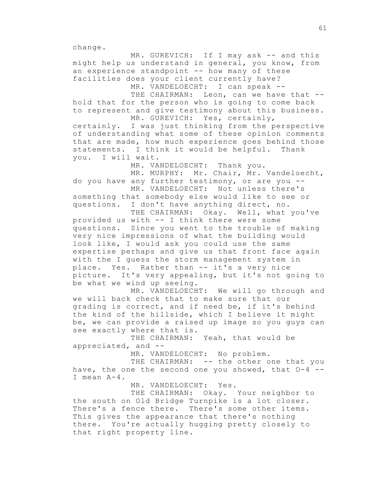change.

MR. GUREVICH: If I may ask -- and this might help us understand in general, you know, from an experience standpoint -- how many of these facilities does your client currently have?

MR. VANDELOECHT: I can speak --

THE CHAIRMAN: Leon, can we have that -hold that for the person who is going to come back to represent and give testimony about this business. MR. GUREVICH: Yes, certainly,

certainly. I was just thinking from the perspective of understanding what some of these opinion comments that are made, how much experience goes behind those statements. I think it would be helpful. Thank you. I will wait.

MR. VANDELOECHT: Thank you.

MR. MURPHY: Mr. Chair, Mr. Vandeloecht, do you have any further testimony, or are you --

MR. VANDELOECHT: Not unless there's something that somebody else would like to see or questions. I don't have anything direct, no.

THE CHAIRMAN: Okay. Well, what you've provided us with -- I think there were some questions. Since you went to the trouble of making very nice impressions of what the building would look like, I would ask you could use the same expertise perhaps and give us that front face again with the I guess the storm management system in place. Yes. Rather than -- it's a very nice picture. It's very appealing, but it's not going to be what we wind up seeing.

MR. VANDELOECHT: We will go through and we will back check that to make sure that our grading is correct, and if need be, if it's behind the kind of the hillside, which I believe it might be, we can provide a raised up image so you guys can see exactly where that is.

THE CHAIRMAN: Yeah, that would be appreciated, and --

MR. VANDELOECHT: No problem.

THE CHAIRMAN: -- the other one that you have, the one the second one you showed, that O-4 -- I mean A-4.

MR. VANDELOECHT: Yes.

THE CHAIRMAN: Okay. Your neighbor to the south on Old Bridge Turnpike is a lot closer. There's a fence there. There's some other items. This gives the appearance that there's nothing there. You're actually hugging pretty closely to that right property line.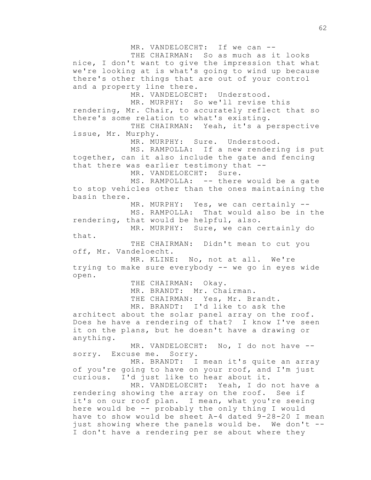MR. VANDELOECHT: If we can --THE CHAIRMAN: So as much as it looks nice, I don't want to give the impression that what we're looking at is what's going to wind up because there's other things that are out of your control and a property line there. MR. VANDELOECHT: Understood. MR. MURPHY: So we'll revise this rendering, Mr. Chair, to accurately reflect that so there's some relation to what's existing. THE CHAIRMAN: Yeah, it's a perspective issue, Mr. Murphy. MR. MURPHY: Sure. Understood. MS. RAMPOLLA: If a new rendering is put together, can it also include the gate and fencing that there was earlier testimony that -- MR. VANDELOECHT: Sure. MS. RAMPOLLA: -- there would be a gate to stop vehicles other than the ones maintaining the basin there. MR. MURPHY: Yes, we can certainly --MS. RAMPOLLA: That would also be in the rendering, that would be helpful, also. MR. MURPHY: Sure, we can certainly do that. THE CHAIRMAN: Didn't mean to cut you off, Mr. Vandeloecht. MR. KLINE: No, not at all. We're trying to make sure everybody -- we go in eyes wide open. THE CHAIRMAN: Okay. MR. BRANDT: Mr. Chairman. THE CHAIRMAN: Yes, Mr. Brandt. MR. BRANDT: I'd like to ask the architect about the solar panel array on the roof. Does he have a rendering of that? I know I've seen it on the plans, but he doesn't have a drawing or anything. MR. VANDELOECHT: No, I do not have - sorry. Excuse me. Sorry. MR. BRANDT: I mean it's quite an array of you're going to have on your roof, and I'm just curious. I'd just like to hear about it. MR. VANDELOECHT: Yeah, I do not have a rendering showing the array on the roof. See if it's on our roof plan. I mean, what you're seeing here would be -- probably the only thing I would have to show would be sheet A-4 dated 9-28-20 I mean just showing where the panels would be. We don't -- I don't have a rendering per se about where they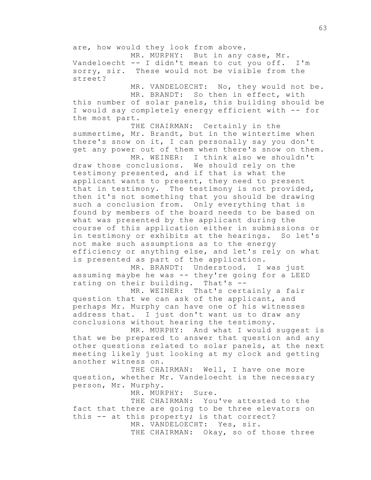are, how would they look from above.

MR. MURPHY: But in any case, Mr. Vandeloecht -- I didn't mean to cut you off. I'm sorry, sir. These would not be visible from the street?

MR. VANDELOECHT: No, they would not be.

MR. BRANDT: So then in effect, with this number of solar panels, this building should be I would say completely energy efficient with -- for the most part.

THE CHAIRMAN: Certainly in the summertime, Mr. Brandt, but in the wintertime when there's snow on it, I can personally say you don't get any power out of them when there's snow on them.

MR. WEINER: I think also we shouldn't draw those conclusions. We should rely on the testimony presented, and if that is what the applicant wants to present, they need to present that in testimony. The testimony is not provided, then it's not something that you should be drawing such a conclusion from. Only everything that is found by members of the board needs to be based on what was presented by the applicant during the course of this application either in submissions or in testimony or exhibits at the hearings. So let's not make such assumptions as to the energy efficiency or anything else, and let's rely on what is presented as part of the application.

MR. BRANDT: Understood. I was just assuming maybe he was -- they're going for a LEED rating on their building. That's --

MR. WEINER: That's certainly a fair question that we can ask of the applicant, and perhaps Mr. Murphy can have one of his witnesses address that. I just don't want us to draw any conclusions without hearing the testimony.

MR. MURPHY: And what I would suggest is that we be prepared to answer that question and any other questions related to solar panels, at the next meeting likely just looking at my clock and getting another witness on.

THE CHAIRMAN: Well, I have one more question, whether Mr. Vandeloecht is the necessary person, Mr. Murphy.

MR. MURPHY: Sure.

THE CHAIRMAN: You've attested to the fact that there are going to be three elevators on this -- at this property; is that correct? MR. VANDELOECHT: Yes, sir.

THE CHAIRMAN: Okay, so of those three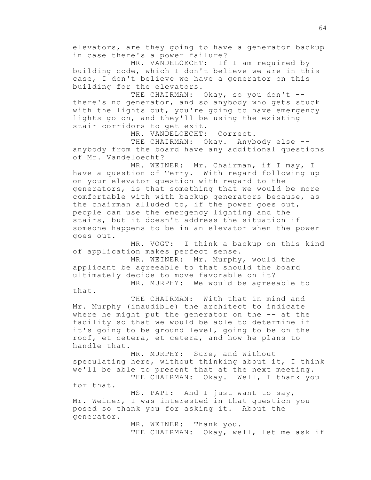elevators, are they going to have a generator backup in case there's a power failure?

MR. VANDELOECHT: If I am required by building code, which I don't believe we are in this case, I don't believe we have a generator on this building for the elevators.

THE CHAIRMAN: Okay, so you don't -there's no generator, and so anybody who gets stuck with the lights out, you're going to have emergency lights go on, and they'll be using the existing stair corridors to get exit.

MR. VANDELOECHT: Correct.

THE CHAIRMAN: Okay. Anybody else -anybody from the board have any additional questions of Mr. Vandeloecht?

MR. WEINER: Mr. Chairman, if I may, I have a question of Terry. With regard following up on your elevator question with regard to the generators, is that something that we would be more comfortable with with backup generators because, as the chairman alluded to, if the power goes out, people can use the emergency lighting and the stairs, but it doesn't address the situation if someone happens to be in an elevator when the power goes out.

MR. VOGT: I think a backup on this kind of application makes perfect sense.

MR. WEINER: Mr. Murphy, would the applicant be agreeable to that should the board ultimately decide to move favorable on it?

MR. MURPHY: We would be agreeable to that.

THE CHAIRMAN: With that in mind and Mr. Murphy (inaudible) the architect to indicate where he might put the generator on the -- at the facility so that we would be able to determine if it's going to be ground level, going to be on the roof, et cetera, et cetera, and how he plans to handle that.

MR. MURPHY: Sure, and without speculating here, without thinking about it, I think we'll be able to present that at the next meeting. THE CHAIRMAN: Okay. Well, I thank you

for that.

MS. PAPI: And I just want to say, Mr. Weiner, I was interested in that question you posed so thank you for asking it. About the generator.

> MR. WEINER: Thank you. THE CHAIRMAN: Okay, well, let me ask if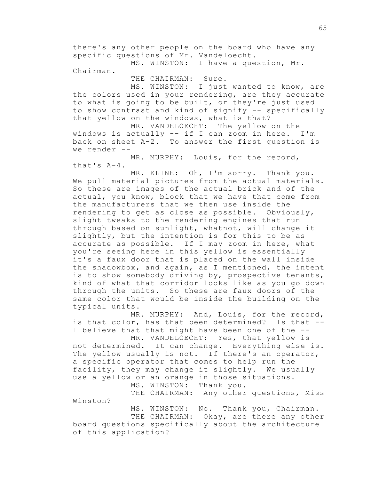there's any other people on the board who have any specific questions of Mr. Vandeloecht.

MS. WINSTON: I have a question, Mr. Chairman.

THE CHAIRMAN: Sure.

MS. WINSTON: I just wanted to know, are the colors used in your rendering, are they accurate to what is going to be built, or they're just used to show contrast and kind of signify -- specifically that yellow on the windows, what is that?

MR. VANDELOECHT: The yellow on the windows is actually -- if I can zoom in here. I'm back on sheet A-2. To answer the first question is we render --

MR. MURPHY: Louis, for the record, that's A-4.

MR. KLINE: Oh, I'm sorry. Thank you. We pull material pictures from the actual materials. So these are images of the actual brick and of the actual, you know, block that we have that come from the manufacturers that we then use inside the rendering to get as close as possible. Obviously, slight tweaks to the rendering engines that run through based on sunlight, whatnot, will change it slightly, but the intention is for this to be as accurate as possible. If I may zoom in here, what you're seeing here in this yellow is essentially it's a faux door that is placed on the wall inside the shadowbox, and again, as I mentioned, the intent is to show somebody driving by, prospective tenants, kind of what that corridor looks like as you go down through the units. So these are faux doors of the same color that would be inside the building on the typical units.

MR. MURPHY: And, Louis, for the record, is that color, has that been determined? Is that -- I believe that that might have been one of the --

MR. VANDELOECHT: Yes, that yellow is not determined. It can change. Everything else is. The yellow usually is not. If there's an operator, a specific operator that comes to help run the facility, they may change it slightly. We usually use a yellow or an orange in those situations. MS. WINSTON: Thank you.

THE CHAIRMAN: Any other questions, Miss Winston?

MS. WINSTON: No. Thank you, Chairman. THE CHAIRMAN: Okay, are there any other board questions specifically about the architecture of this application?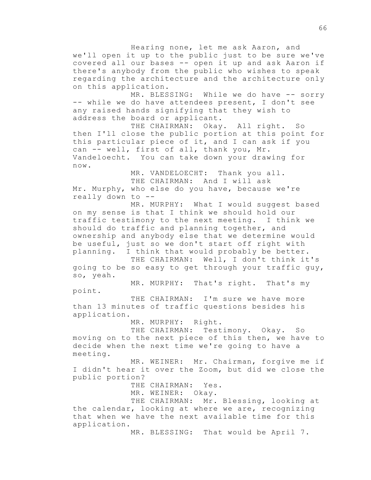Hearing none, let me ask Aaron, and we'll open it up to the public just to be sure we've covered all our bases -- open it up and ask Aaron if there's anybody from the public who wishes to speak regarding the architecture and the architecture only on this application.

MR. BLESSING: While we do have -- sorry -- while we do have attendees present, I don't see any raised hands signifying that they wish to address the board or applicant.

THE CHAIRMAN: Okay. All right. So then I'll close the public portion at this point for this particular piece of it, and I can ask if you can -- well, first of all, thank you, Mr. Vandeloecht. You can take down your drawing for now.

MR. VANDELOECHT: Thank you all. THE CHAIRMAN: And I will ask Mr. Murphy, who else do you have, because we're really down to --

MR. MURPHY: What I would suggest based on my sense is that I think we should hold our traffic testimony to the next meeting. I think we should do traffic and planning together, and ownership and anybody else that we determine would be useful, just so we don't start off right with planning. I think that would probably be better.

THE CHAIRMAN: Well, I don't think it's going to be so easy to get through your traffic guy, so, yeah.

MR. MURPHY: That's right. That's my point.

THE CHAIRMAN: I'm sure we have more than 13 minutes of traffic questions besides his application.

MR. MURPHY: Right.

THE CHAIRMAN: Testimony. Okay. So moving on to the next piece of this then, we have to decide when the next time we're going to have a meeting.

MR. WEINER: Mr. Chairman, forgive me if I didn't hear it over the Zoom, but did we close the public portion?

THE CHAIRMAN: Yes.

MR. WEINER: Okay.

THE CHAIRMAN: Mr. Blessing, looking at the calendar, looking at where we are, recognizing that when we have the next available time for this application.

MR. BLESSING: That would be April 7.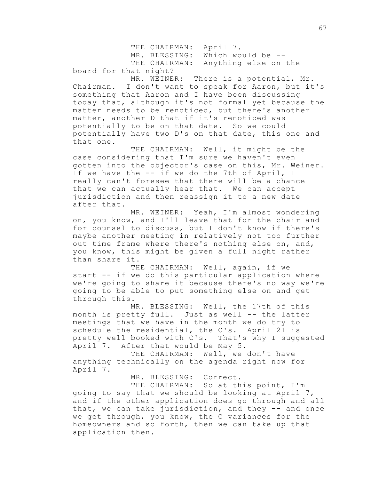THE CHAIRMAN: April 7. MR. BLESSING: Which would be --THE CHAIRMAN: Anything else on the board for that night?

MR. WEINER: There is a potential, Mr. Chairman. I don't want to speak for Aaron, but it's something that Aaron and I have been discussing today that, although it's not formal yet because the matter needs to be renoticed, but there's another matter, another D that if it's renoticed was potentially to be on that date. So we could potentially have two D's on that date, this one and that one.

THE CHAIRMAN: Well, it might be the case considering that I'm sure we haven't even gotten into the objector's case on this, Mr. Weiner. If we have the -- if we do the 7th of April, I really can't foresee that there will be a chance that we can actually hear that. We can accept jurisdiction and then reassign it to a new date after that.

MR. WEINER: Yeah, I'm almost wondering on, you know, and I'll leave that for the chair and for counsel to discuss, but I don't know if there's maybe another meeting in relatively not too further out time frame where there's nothing else on, and, you know, this might be given a full night rather than share it.

THE CHAIRMAN: Well, again, if we start -- if we do this particular application where we're going to share it because there's no way we're going to be able to put something else on and get through this.

MR. BLESSING: Well, the 17th of this month is pretty full. Just as well -- the latter meetings that we have in the month we do try to schedule the residential, the C's. April 21 is pretty well booked with C's. That's why I suggested April 7. After that would be May 5.

THE CHAIRMAN: Well, we don't have anything technically on the agenda right now for April 7.

MR. BLESSING: Correct.

THE CHAIRMAN: So at this point, I'm going to say that we should be looking at April 7, and if the other application does go through and all that, we can take jurisdiction, and they -- and once we get through, you know, the C variances for the homeowners and so forth, then we can take up that application then.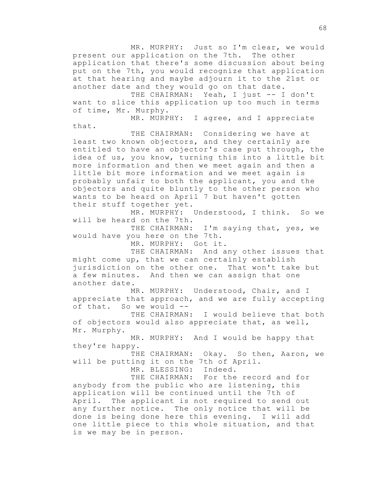MR. MURPHY: Just so I'm clear, we would present our application on the 7th. The other application that there's some discussion about being put on the 7th, you would recognize that application at that hearing and maybe adjourn it to the 21st or another date and they would go on that date.

THE CHAIRMAN: Yeah, I just -- I don't want to slice this application up too much in terms of time, Mr. Murphy.

MR. MURPHY: I agree, and I appreciate that.

THE CHAIRMAN: Considering we have at least two known objectors, and they certainly are entitled to have an objector's case put through, the idea of us, you know, turning this into a little bit more information and then we meet again and then a little bit more information and we meet again is probably unfair to both the applicant, you and the objectors and quite bluntly to the other person who wants to be heard on April 7 but haven't gotten their stuff together yet.

MR. MURPHY: Understood, I think. So we will be heard on the 7th.

THE CHAIRMAN: I'm saying that, yes, we would have you here on the 7th.

MR. MURPHY: Got it.

THE CHAIRMAN: And any other issues that might come up, that we can certainly establish jurisdiction on the other one. That won't take but a few minutes. And then we can assign that one another date.

MR. MURPHY: Understood, Chair, and I appreciate that approach, and we are fully accepting of that. So we would --

THE CHAIRMAN: I would believe that both of objectors would also appreciate that, as well, Mr. Murphy.

MR. MURPHY: And I would be happy that they're happy.

THE CHAIRMAN: Okay. So then, Aaron, we will be putting it on the 7th of April. MR. BLESSING: Indeed.

THE CHAIRMAN: For the record and for anybody from the public who are listening, this application will be continued until the 7th of April. The applicant is not required to send out any further notice. The only notice that will be done is being done here this evening. I will add one little piece to this whole situation, and that is we may be in person.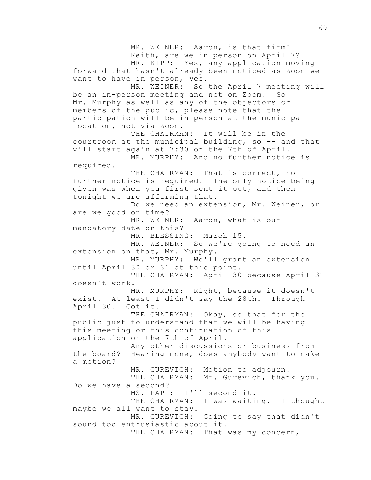MR. WEINER: Aaron, is that firm? Keith, are we in person on April 7? MR. KIPP: Yes, any application moving forward that hasn't already been noticed as Zoom we want to have in person, yes. MR. WEINER: So the April 7 meeting will be an in-person meeting and not on Zoom. So Mr. Murphy as well as any of the objectors or members of the public, please note that the participation will be in person at the municipal location, not via Zoom. THE CHAIRMAN: It will be in the courtroom at the municipal building, so -- and that will start again at 7:30 on the 7th of April. MR. MURPHY: And no further notice is required. THE CHAIRMAN: That is correct, no further notice is required. The only notice being given was when you first sent it out, and then tonight we are affirming that. Do we need an extension, Mr. Weiner, or are we good on time? MR. WEINER: Aaron, what is our mandatory date on this? MR. BLESSING: March 15. MR. WEINER: So we're going to need an extension on that, Mr. Murphy. MR. MURPHY: We'll grant an extension until April 30 or 31 at this point. THE CHAIRMAN: April 30 because April 31 doesn't work. MR. MURPHY: Right, because it doesn't exist. At least I didn't say the 28th. Through April 30. Got it. THE CHAIRMAN: Okay, so that for the public just to understand that we will be having this meeting or this continuation of this application on the 7th of April. Any other discussions or business from the board? Hearing none, does anybody want to make a motion? MR. GUREVICH: Motion to adjourn. THE CHAIRMAN: Mr. Gurevich, thank you. Do we have a second? MS. PAPI: I'll second it. THE CHAIRMAN: I was waiting. I thought maybe we all want to stay. MR. GUREVICH: Going to say that didn't sound too enthusiastic about it. THE CHAIRMAN: That was my concern,